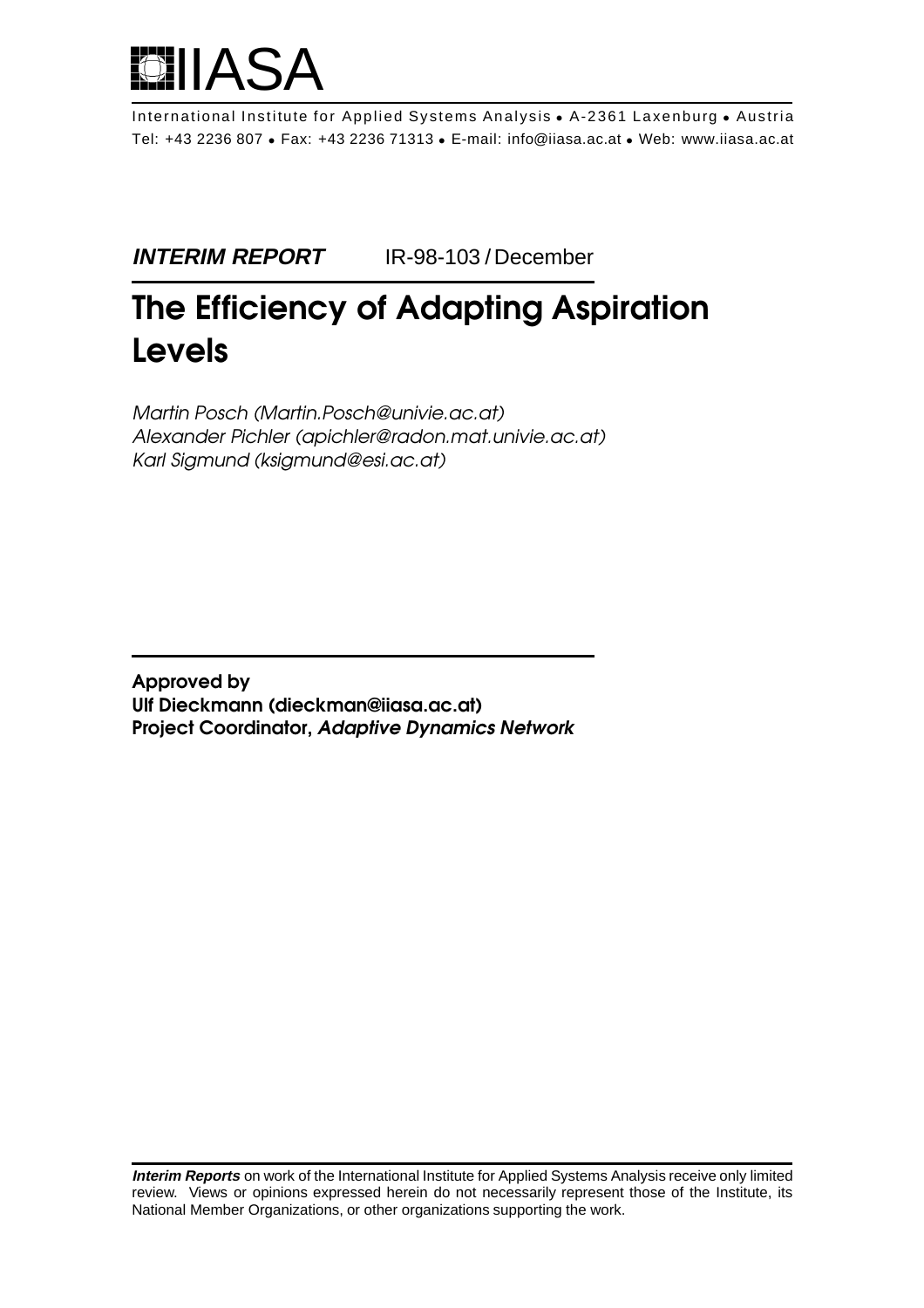

International Institute for Applied Systems Analysis • A-2361 Laxenburg • Austria Tel: +43 2236 807 • Fax: +43 2236 71313 • E-mail: info@iiasa.ac.at • Web: www.iiasa.ac.at

**INTERIM REPORT** IR-98-103 / December

# **The Efficiency of Adapting Aspiration Levels**

Martin Posch (Martin.Posch@univie.ac.at) Alexander Pichler (apichler@radon.mat.univie.ac.at) Karl Sigmund (ksigmund@esi.ac.at)

**Approved by Ulf Dieckmann (dieckman@iiasa.ac.at) Project Coordinator, Adaptive Dynamics Network**

**Interim Reports** on work of the International Institute for Applied Systems Analysis receive only limited review. Views or opinions expressed herein do not necessarily represent those of the Institute, its National Member Organizations, or other organizations supporting the work.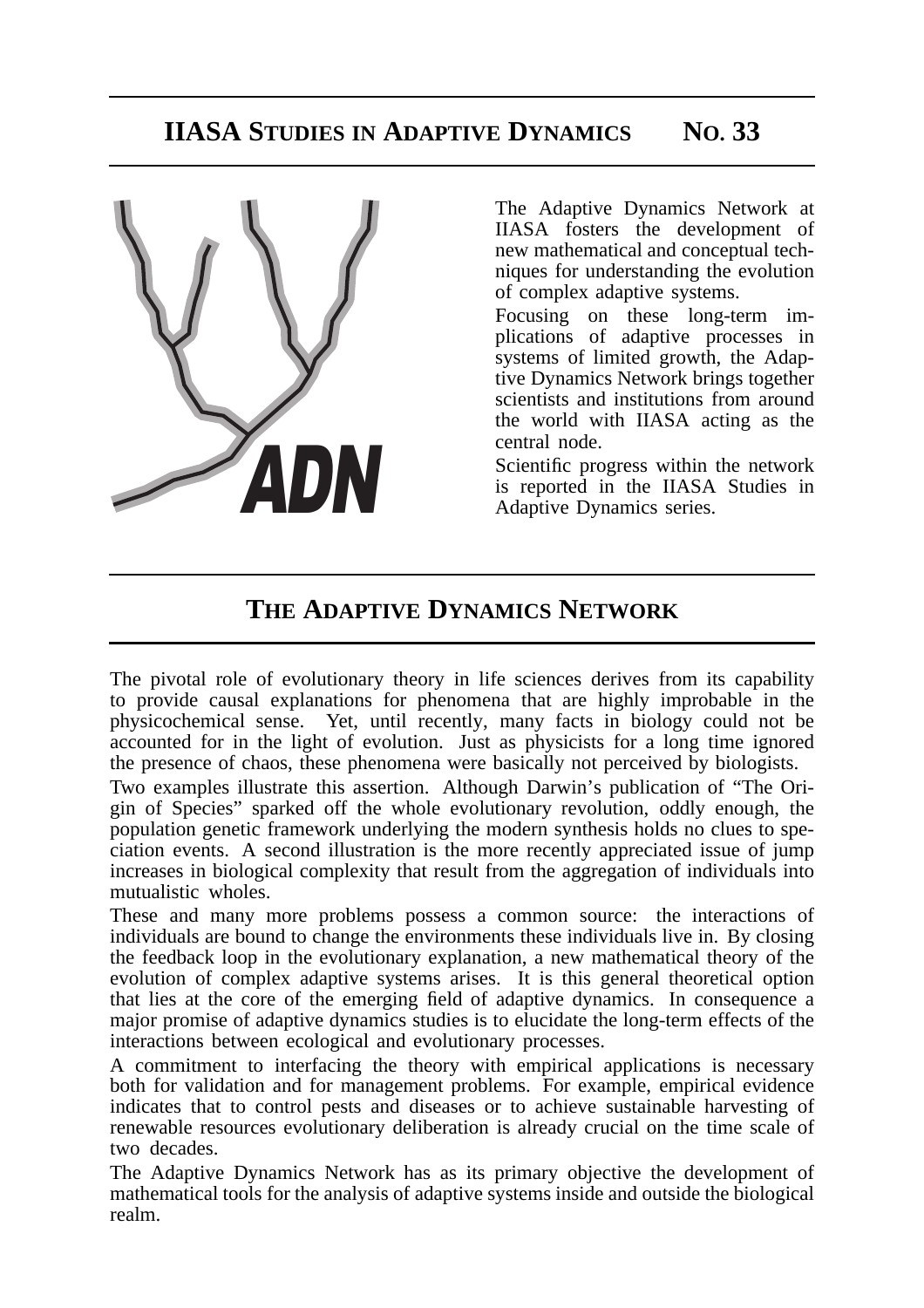

The Adaptive Dynamics Network at IIASA fosters the development of new mathematical and conceptual techniques for understanding the evolution of complex adaptive systems.

Focusing on these long-term implications of adaptive processes in systems of limited growth, the Adaptive Dynamics Network brings together scientists and institutions from around the world with IIASA acting as the central node.

Scientific progress within the network is reported in the IIASA Studies in Adaptive Dynamics series.

# **THE ADAPTIVE DYNAMICS NETWORK**

The pivotal role of evolutionary theory in life sciences derives from its capability to provide causal explanations for phenomena that are highly improbable in the physicochemical sense. Yet, until recently, many facts in biology could not be accounted for in the light of evolution. Just as physicists for a long time ignored the presence of chaos, these phenomena were basically not perceived by biologists.

Two examples illustrate this assertion. Although Darwin's publication of "The Origin of Species" sparked off the whole evolutionary revolution, oddly enough, the population genetic framework underlying the modern synthesis holds no clues to speciation events. A second illustration is the more recently appreciated issue of jump increases in biological complexity that result from the aggregation of individuals into mutualistic wholes.

These and many more problems possess a common source: the interactions of individuals are bound to change the environments these individuals live in. By closing the feedback loop in the evolutionary explanation, a new mathematical theory of the evolution of complex adaptive systems arises. It is this general theoretical option that lies at the core of the emerging field of adaptive dynamics. In consequence a major promise of adaptive dynamics studies is to elucidate the long-term effects of the interactions between ecological and evolutionary processes.

A commitment to interfacing the theory with empirical applications is necessary both for validation and for management problems. For example, empirical evidence indicates that to control pests and diseases or to achieve sustainable harvesting of renewable resources evolutionary deliberation is already crucial on the time scale of two decades.

The Adaptive Dynamics Network has as its primary objective the development of mathematical tools for the analysis of adaptive systems inside and outside the biological realm.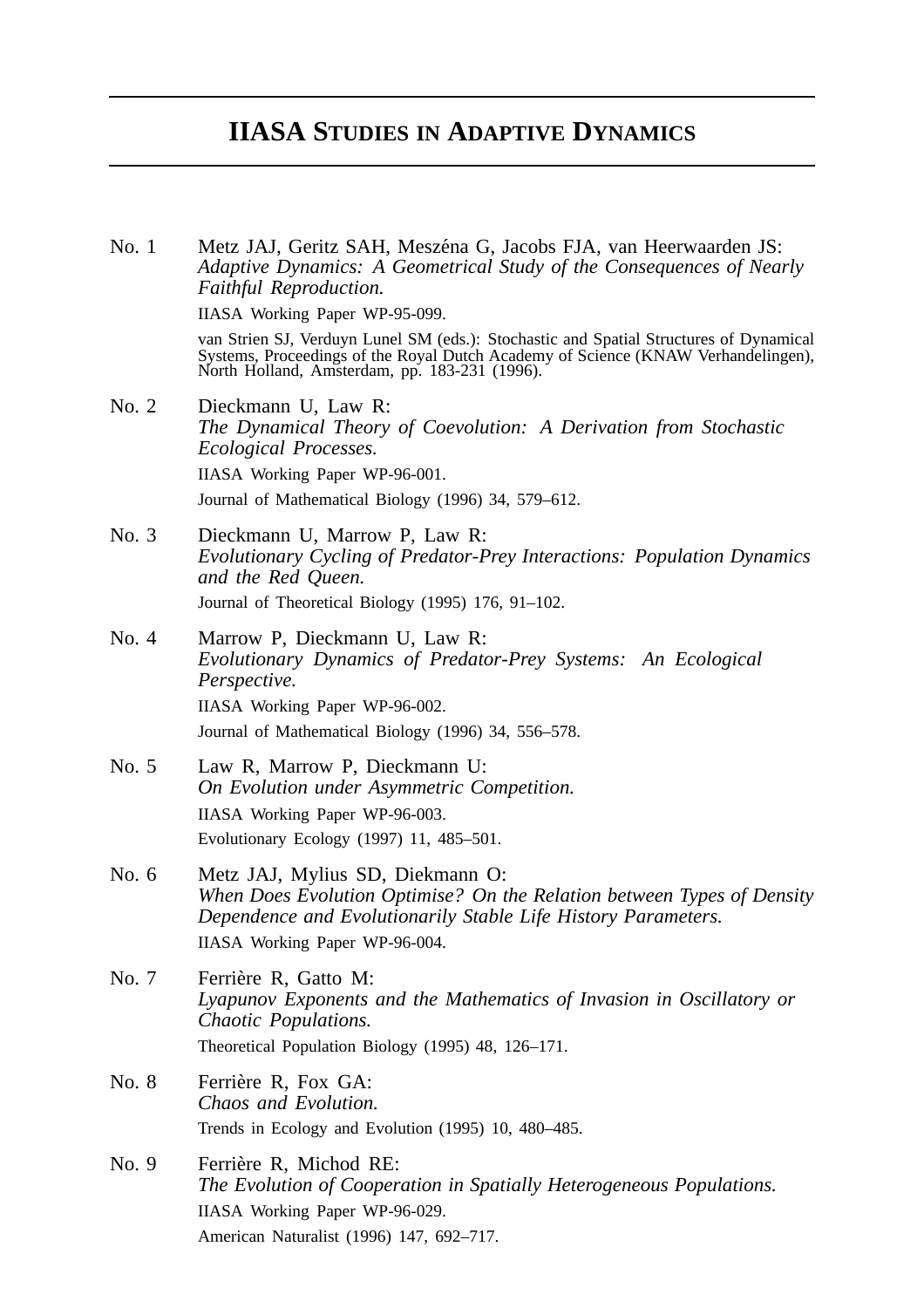# **IIASA STUDIES IN ADAPTIVE DYNAMICS**

No. 1 Metz JAJ, Geritz SAH, Meszéna G, Jacobs FJA, van Heerwaarden JS: *Adaptive Dynamics: A Geometrical Study of the Consequences of Nearly Faithful Reproduction.* IIASA Working Paper WP-95-099. van Strien SJ, Verduyn Lunel SM (eds.): Stochastic and Spatial Structures of Dynamical Systems, Proceedings of the Royal Dutch Academy of Science (KNAW Verhandelingen), North Holland, Amsterdam, pp. 183-231 (1996). No. 2 Dieckmann U, Law R: *The Dynamical Theory of Coevolution: A Derivation from Stochastic Ecological Processes.* IIASA Working Paper WP-96-001. Journal of Mathematical Biology (1996) 34, 579–612. No. 3 Dieckmann U, Marrow P, Law R: *Evolutionary Cycling of Predator-Prey Interactions: Population Dynamics and the Red Queen.* Journal of Theoretical Biology (1995) 176, 91–102. No. 4 Marrow P, Dieckmann U, Law R: *Evolutionary Dynamics of Predator-Prey Systems: An Ecological Perspective.* IIASA Working Paper WP-96-002. Journal of Mathematical Biology (1996) 34, 556–578. No. 5 Law R, Marrow P, Dieckmann U: *On Evolution under Asymmetric Competition.* IIASA Working Paper WP-96-003. Evolutionary Ecology (1997) 11, 485–501. No. 6 Metz JAJ, Mylius SD, Diekmann O: *When Does Evolution Optimise? On the Relation between Types of Density Dependence and Evolutionarily Stable Life History Parameters.* IIASA Working Paper WP-96-004. No. 7 Ferrière R, Gatto M: *Lyapunov Exponents and the Mathematics of Invasion in Oscillatory or Chaotic Populations.* Theoretical Population Biology (1995) 48, 126–171. No. 8 Ferrière R, Fox GA: *Chaos and Evolution.* Trends in Ecology and Evolution (1995) 10, 480–485. No. 9 Ferrière R, Michod RE: *The Evolution of Cooperation in Spatially Heterogeneous Populations.* IIASA Working Paper WP-96-029.

American Naturalist (1996) 147, 692–717.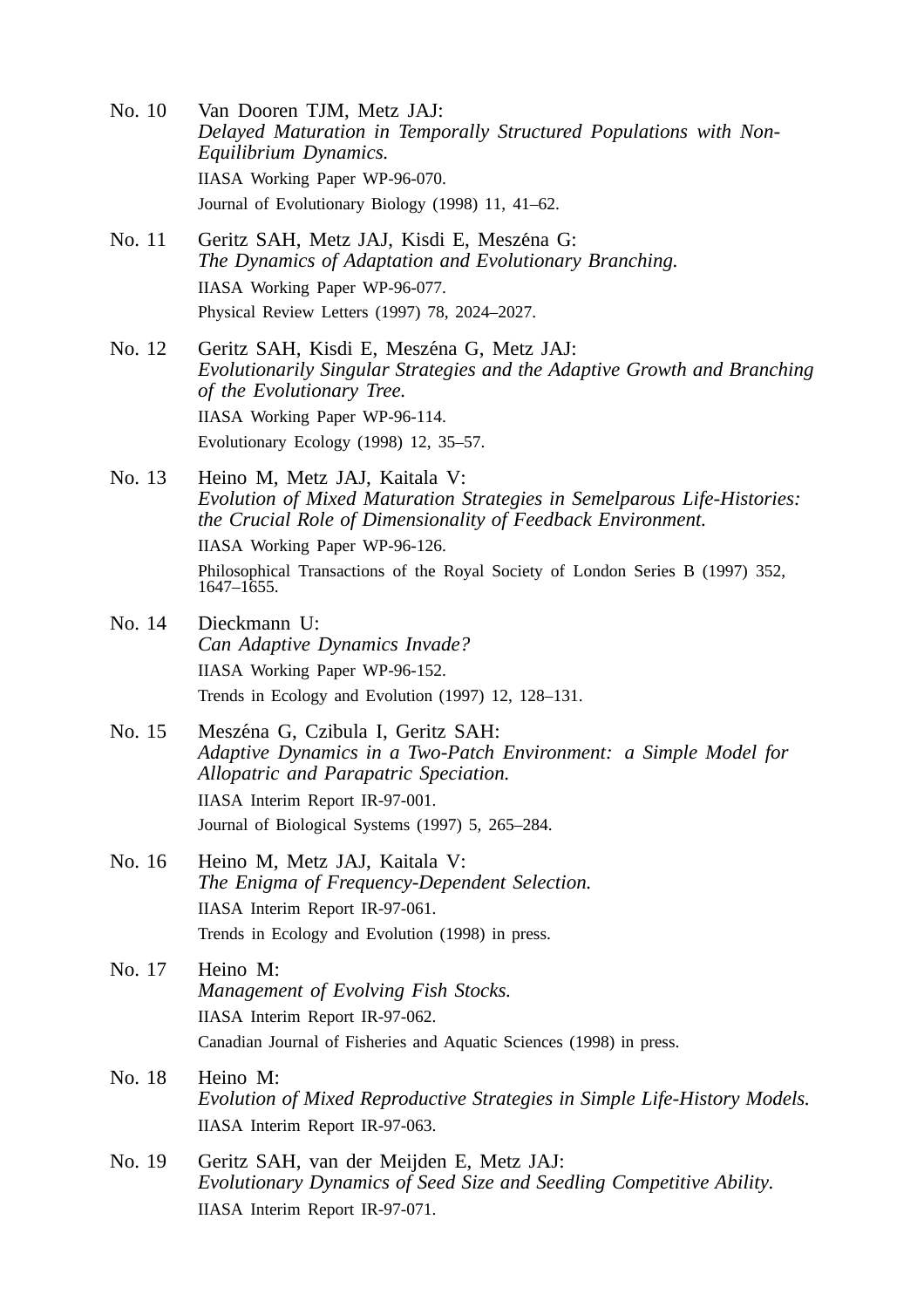- No. 10 Van Dooren TJM, Metz JAJ: *Delayed Maturation in Temporally Structured Populations with Non-Equilibrium Dynamics.* IIASA Working Paper WP-96-070. Journal of Evolutionary Biology (1998) 11, 41–62.
- No. 11 Geritz SAH, Metz JAJ, Kisdi E, Meszéna G: *The Dynamics of Adaptation and Evolutionary Branching.* IIASA Working Paper WP-96-077. Physical Review Letters (1997) 78, 2024–2027.
- No. 12 Geritz SAH, Kisdi E, Meszéna G, Metz JAJ: *Evolutionarily Singular Strategies and the Adaptive Growth and Branching of the Evolutionary Tree.* IIASA Working Paper WP-96-114. Evolutionary Ecology (1998) 12, 35–57.
- No. 13 Heino M, Metz JAJ, Kaitala V: *Evolution of Mixed Maturation Strategies in Semelparous Life-Histories: the Crucial Role of Dimensionality of Feedback Environment.*

IIASA Working Paper WP-96-126.

Philosophical Transactions of the Royal Society of London Series B (1997) 352, 1647–1655.

- No. 14 Dieckmann U: *Can Adaptive Dynamics Invade?* IIASA Working Paper WP-96-152. Trends in Ecology and Evolution (1997) 12, 128–131.
- No. 15 Meszéna G, Czibula I, Geritz SAH: *Adaptive Dynamics in a Two-Patch Environment: a Simple Model for Allopatric and Parapatric Speciation.* IIASA Interim Report IR-97-001. Journal of Biological Systems (1997) 5, 265–284.
- No. 16 Heino M, Metz JAJ, Kaitala V: *The Enigma of Frequency-Dependent Selection.* IIASA Interim Report IR-97-061. Trends in Ecology and Evolution (1998) in press.
- No. 17 Heino M: *Management of Evolving Fish Stocks.* IIASA Interim Report IR-97-062. Canadian Journal of Fisheries and Aquatic Sciences (1998) in press.
- No. 18 Heino M: *Evolution of Mixed Reproductive Strategies in Simple Life-History Models.* IIASA Interim Report IR-97-063.
- No. 19 Geritz SAH, van der Meijden E, Metz JAJ: *Evolutionary Dynamics of Seed Size and Seedling Competitive Ability.* IIASA Interim Report IR-97-071.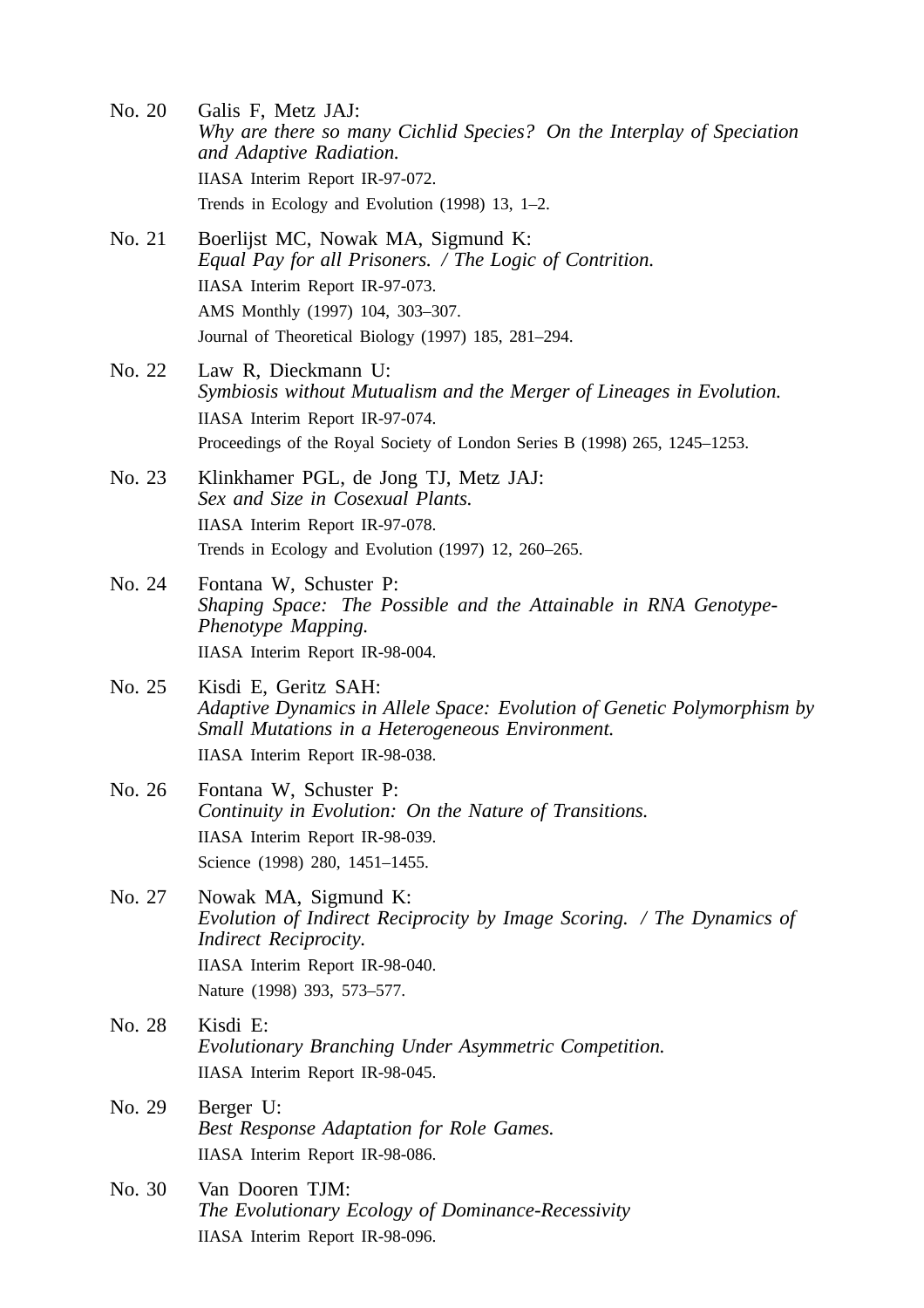- No. 20 Galis F, Metz JAJ: *Why are there so many Cichlid Species? On the Interplay of Speciation and Adaptive Radiation.* IIASA Interim Report IR-97-072. Trends in Ecology and Evolution (1998) 13, 1–2.
- No. 21 Boerlijst MC, Nowak MA, Sigmund K: *Equal Pay for all Prisoners. / The Logic of Contrition.* IIASA Interim Report IR-97-073. AMS Monthly (1997) 104, 303–307. Journal of Theoretical Biology (1997) 185, 281–294.
- No. 22 Law R, Dieckmann U: *Symbiosis without Mutualism and the Merger of Lineages in Evolution.* IIASA Interim Report IR-97-074. Proceedings of the Royal Society of London Series B (1998) 265, 1245–1253.
- No. 23 Klinkhamer PGL, de Jong TJ, Metz JAJ: *Sex and Size in Cosexual Plants.* IIASA Interim Report IR-97-078. Trends in Ecology and Evolution (1997) 12, 260–265.
- No. 24 Fontana W, Schuster P: *Shaping Space: The Possible and the Attainable in RNA Genotype-Phenotype Mapping.* IIASA Interim Report IR-98-004.
- No. 25 Kisdi E, Geritz SAH: *Adaptive Dynamics in Allele Space: Evolution of Genetic Polymorphism by Small Mutations in a Heterogeneous Environment.* IIASA Interim Report IR-98-038.
- No. 26 Fontana W, Schuster P: *Continuity in Evolution: On the Nature of Transitions.* IIASA Interim Report IR-98-039. Science (1998) 280, 1451–1455.
- No. 27 Nowak MA, Sigmund K: *Evolution of Indirect Reciprocity by Image Scoring. / The Dynamics of Indirect Reciprocity.* IIASA Interim Report IR-98-040. Nature (1998) 393, 573–577.
- No. 28 Kisdi E: *Evolutionary Branching Under Asymmetric Competition.* IIASA Interim Report IR-98-045.
- No. 29 Berger U: *Best Response Adaptation for Role Games.* IIASA Interim Report IR-98-086.
- No. 30 Van Dooren TJM: *The Evolutionary Ecology of Dominance-Recessivity* IIASA Interim Report IR-98-096.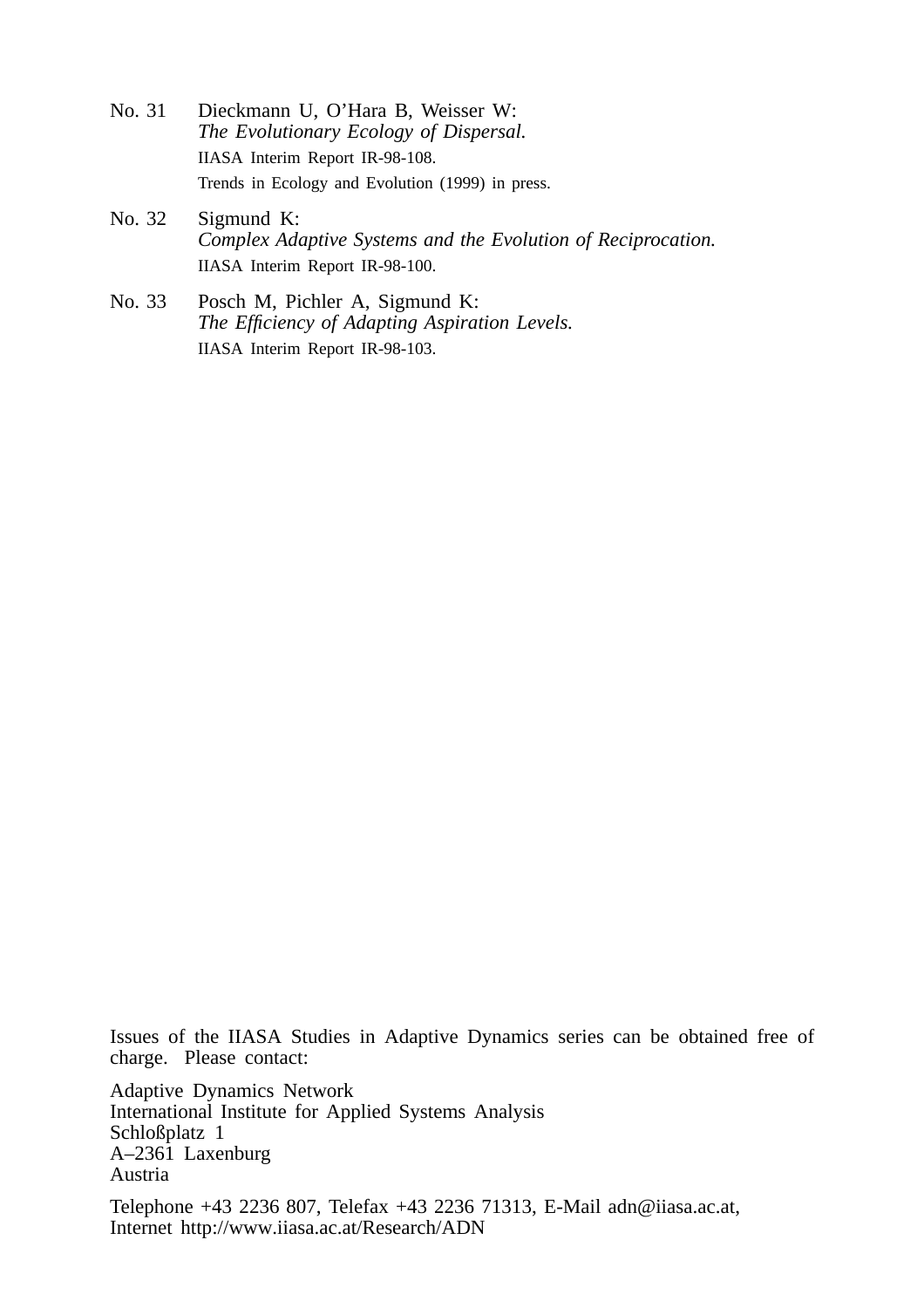- No. 31 Dieckmann U, O'Hara B, Weisser W: *The Evolutionary Ecology of Dispersal.* IIASA Interim Report IR-98-108. Trends in Ecology and Evolution (1999) in press.
- No. 32 Sigmund K: *Complex Adaptive Systems and the Evolution of Reciprocation.* IIASA Interim Report IR-98-100.
- No. 33 Posch M, Pichler A, Sigmund K: *The Efficiency of Adapting Aspiration Levels.* IIASA Interim Report IR-98-103.

Issues of the IIASA Studies in Adaptive Dynamics series can be obtained free of charge. Please contact:

Adaptive Dynamics Network International Institute for Applied Systems Analysis Schloßplatz 1 A–2361 Laxenburg Austria Telephone +43 2236 807, Telefax +43 2236 71313, E-Mail adn@iiasa.ac.at, Internet http://www.iiasa.ac.at/Research/ADN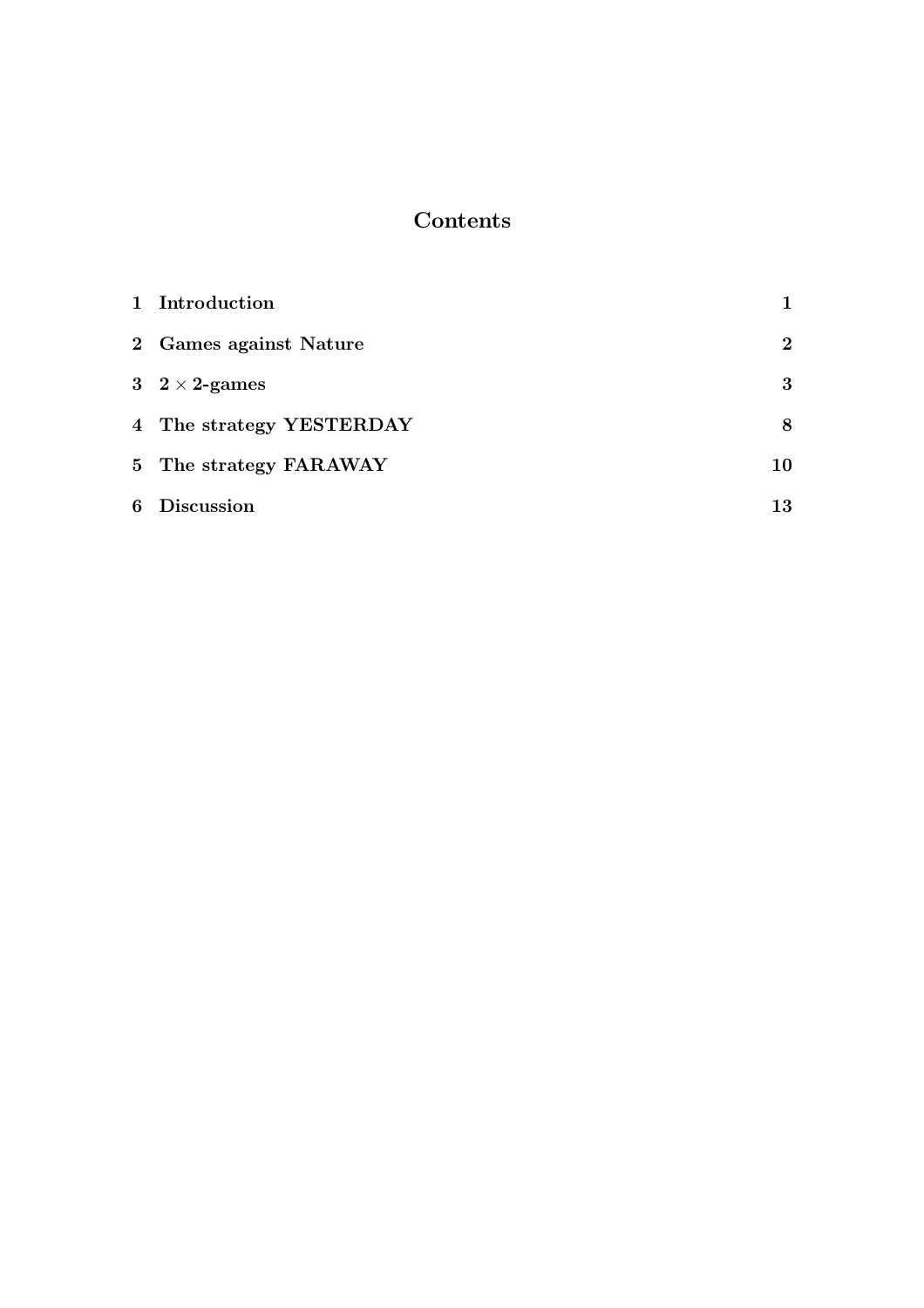# Contents

|   | 1 Introduction           |          |
|---|--------------------------|----------|
|   | 2 Games against Nature   | $\bf{2}$ |
|   | 3 $2 \times 2$ -games    | 3        |
|   | 4 The strategy YESTERDAY | 8        |
|   | 5 The strategy FARAWAY   | 10       |
| 6 | <b>Discussion</b>        | 13       |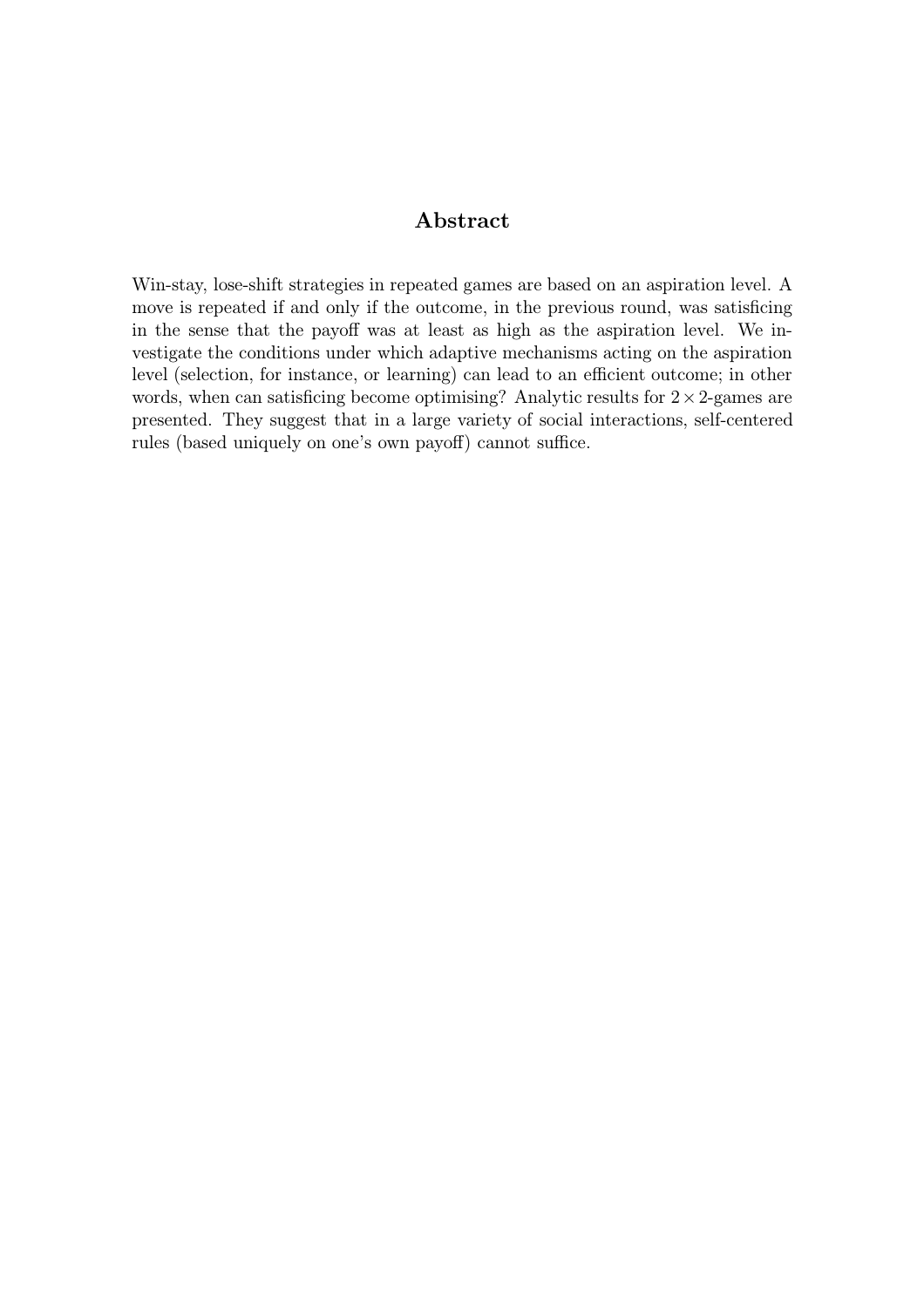#### Abstract

Win-stay, lose-shift strategies in repeated games are based on an aspiration level. A move is repeated if and only if the outcome, in the previous round, was satisficing in the sense that the payoff was at least as high as the aspiration level. We investigate the conditions under which adaptive mechanisms acting on the aspiration level (selection, for instance, or learning) can lead to an efficient outcome; in other words, when can satisficing become optimising? Analytic results for  $2 \times 2$ -games are presented. They suggest that in a large variety of social interactions, self-centered rules (based uniquely on one's own payoff) cannot suffice.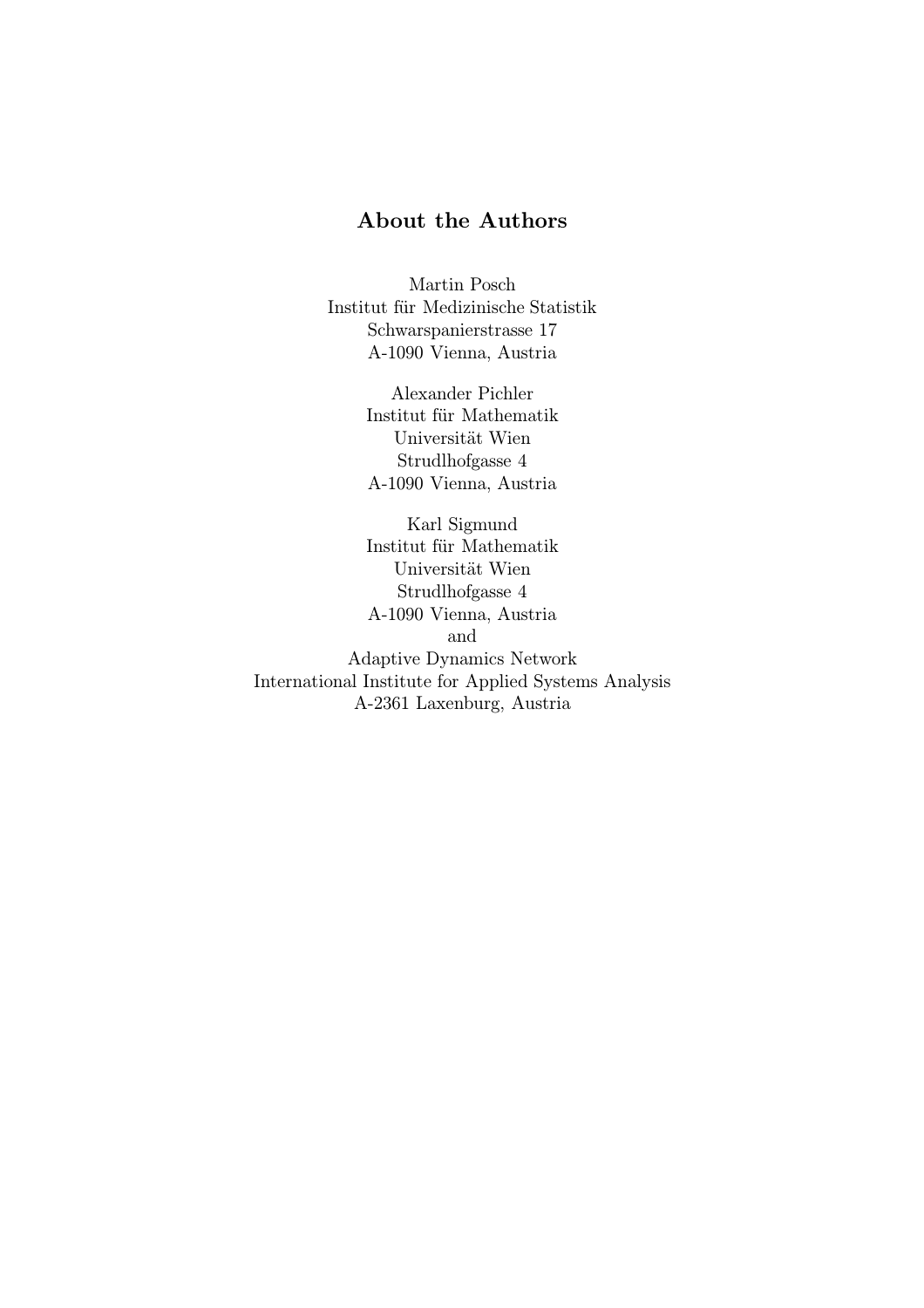#### About the Authors

Martin Posch Institut für Medizinische Statistik Schwarspanierstrasse 17 A-1090 Vienna, Austria

> Alexander Pichler Institut für Mathematik Universität Wien Strudlhofgasse 4 A-1090 Vienna, Austria

Karl Sigmund Institut für Mathematik Universität Wien Strudlhofgasse 4 A-1090 Vienna, Austria and Adaptive Dynamics Network International Institute for Applied Systems Analysis A-2361 Laxenburg, Austria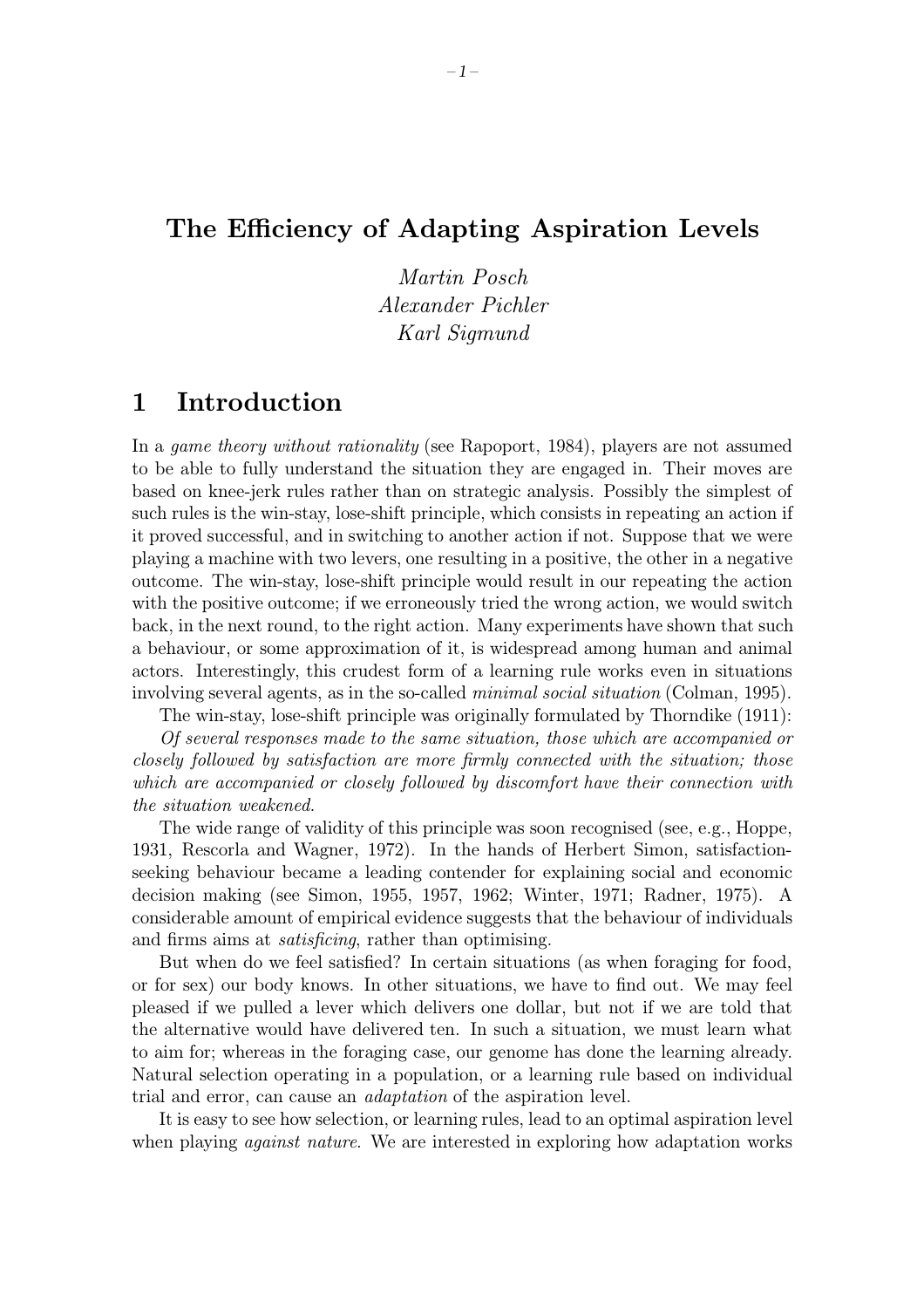### The Efficiency of Adapting Aspiration Levels

Martin Posch Alexander Pichler Karl Sigmund

## 1 Introduction

In a game theory without rationality (see Rapoport, 1984), players are not assumed to be able to fully understand the situation they are engaged in. Their moves are based on knee-jerk rules rather than on strategic analysis. Possibly the simplest of such rules is the win-stay, lose-shift principle, which consists in repeating an action if it proved successful, and in switching to another action if not. Suppose that we were playing a machine with two levers, one resulting in a positive, the other in a negative outcome. The win-stay, lose-shift principle would result in our repeating the action with the positive outcome; if we erroneously tried the wrong action, we would switch back, in the next round, to the right action. Many experiments have shown that such a behaviour, or some approximation of it, is widespread among human and animal actors. Interestingly, this crudest form of a learning rule works even in situations involving several agents, as in the so-called *minimal social situation* (Colman, 1995).

The win-stay, lose-shift principle was originally formulated by Thorndike (1911): Of several responses made to the same situation, those which are accompanied or closely followed by satisfaction are more firmly connected with the situation; those which are accompanied or closely followed by discomfort have their connection with

the situation weakened.

The wide range of validity of this principle was soon recognised (see, e.g., Hoppe, 1931, Rescorla and Wagner, 1972). In the hands of Herbert Simon, satisfactionseeking behaviour became a leading contender for explaining social and economic decision making (see Simon, 1955, 1957, 1962; Winter, 1971; Radner, 1975). A considerable amount of empirical evidence suggests that the behaviour of individuals and firms aims at *satisficing*, rather than optimising.

But when do we feel satisfied? In certain situations (as when foraging for food, or for sex) our body knows. In other situations, we have to find out. We may feel pleased if we pulled a lever which delivers one dollar, but not if we are told that the alternative would have delivered ten. In such a situation, we must learn what to aim for; whereas in the foraging case, our genome has done the learning already. Natural selection operating in a population, or a learning rule based on individual trial and error, can cause an adaptation of the aspiration level.

It is easy to see how selection, or learning rules, lead to an optimal aspiration level when playing *against nature*. We are interested in exploring how adaptation works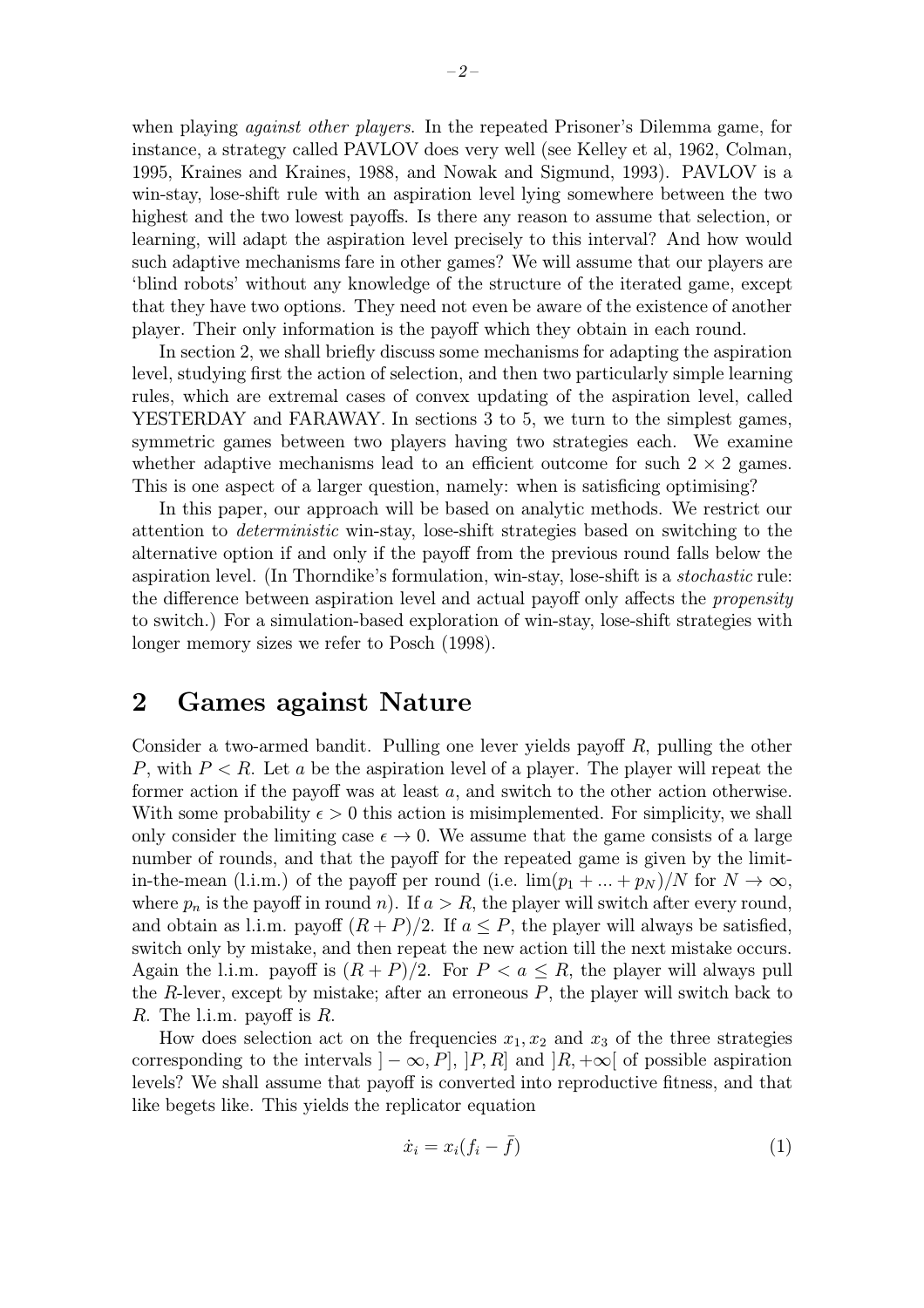when playing *against other players*. In the repeated Prisoner's Dilemma game, for instance, a strategy called PAVLOV does very well (see Kelley et al, 1962, Colman, 1995, Kraines and Kraines, 1988, and Nowak and Sigmund, 1993). PAVLOV is a win-stay, lose-shift rule with an aspiration level lying somewhere between the two highest and the two lowest payoffs. Is there any reason to assume that selection, or learning, will adapt the aspiration level precisely to this interval? And how would such adaptive mechanisms fare in other games? We will assume that our players are 'blind robots' without any knowledge of the structure of the iterated game, except that they have two options. They need not even be aware of the existence of another player. Their only information is the payoff which they obtain in each round.

In section 2, we shall briefly discuss some mechanisms for adapting the aspiration level, studying first the action of selection, and then two particularly simple learning rules, which are extremal cases of convex updating of the aspiration level, called YESTERDAY and FARAWAY. In sections 3 to 5, we turn to the simplest games, symmetric games between two players having two strategies each. We examine whether adaptive mechanisms lead to an efficient outcome for such  $2 \times 2$  games. This is one aspect of a larger question, namely: when is satisficing optimising?

In this paper, our approach will be based on analytic methods. We restrict our attention to deterministic win-stay, lose-shift strategies based on switching to the alternative option if and only if the payoff from the previous round falls below the aspiration level. (In Thorndike's formulation, win-stay, lose-shift is a stochastic rule: the difference between aspiration level and actual payoff only affects the *propensity* to switch.) For a simulation-based exploration of win-stay, lose-shift strategies with longer memory sizes we refer to Posch (1998).

#### 2 Games against Nature

Consider a two-armed bandit. Pulling one lever yields payoff R, pulling the other P, with  $P < R$ . Let a be the aspiration level of a player. The player will repeat the former action if the payoff was at least a, and switch to the other action otherwise. With some probability  $\epsilon > 0$  this action is misimplemented. For simplicity, we shall only consider the limiting case  $\epsilon \to 0$ . We assume that the game consists of a large number of rounds, and that the payoff for the repeated game is given by the limitin-the-mean (l.i.m.) of the payoff per round (i.e.  $\lim(p_1 + ... + p_N)/N$  for  $N \to \infty$ , where  $p_n$  is the payoff in round n). If  $a > R$ , the player will switch after every round, and obtain as l.i.m. payoff  $(R + P)/2$ . If  $a \leq P$ , the player will always be satisfied, switch only by mistake, and then repeat the new action till the next mistake occurs. Again the l.i.m. payoff is  $(R + P)/2$ . For  $P < a \leq R$ , the player will always pull the  $R$ -lever, except by mistake; after an erroneous  $P$ , the player will switch back to R. The l.i.m. payoff is  $R$ .

How does selection act on the frequencies  $x_1, x_2$  and  $x_3$  of the three strategies corresponding to the intervals  $]-\infty, P$ ,  $[P, R]$  and  $|R, +\infty[$  of possible aspiration levels? We shall assume that payoff is converted into reproductive fitness, and that like begets like. This yields the replicator equation

$$
\dot{x}_i = x_i(f_i - \bar{f})\tag{1}
$$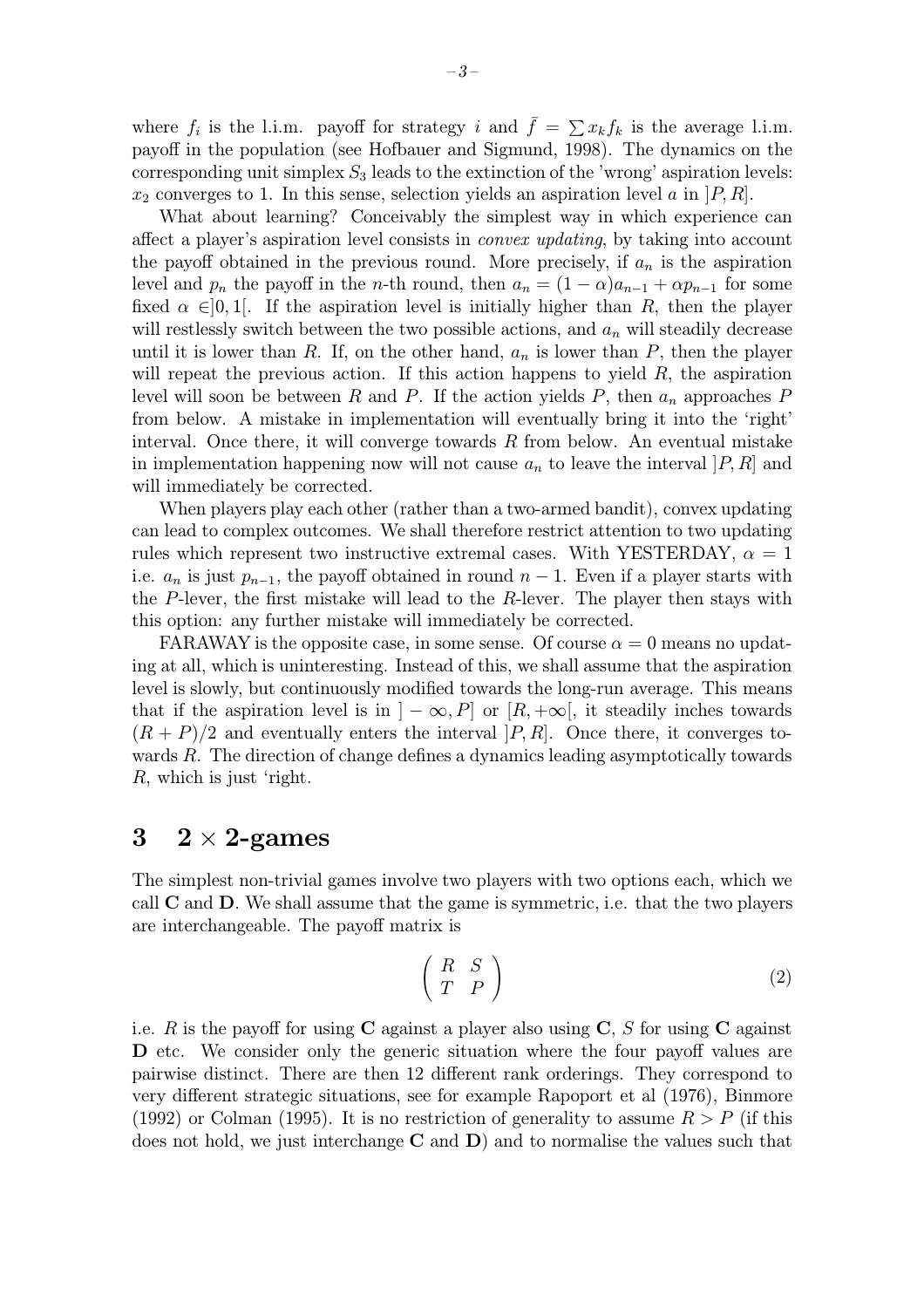where  $f_i$  is the l.i.m. payoff for strategy i and  $\bar{f} = \sum x_k f_k$  is the average l.i.m. payoff in the population (see Hofbauer and Sigmund, 1998). The dynamics on the corresponding unit simplex  $S_3$  leads to the extinction of the 'wrong' aspiration levels:  $x_2$  converges to 1. In this sense, selection yields an aspiration level a in  $[P, R]$ .

What about learning? Conceivably the simplest way in which experience can affect a player's aspiration level consists in *convex updating*, by taking into account the payoff obtained in the previous round. More precisely, if  $a_n$  is the aspiration level and  $p_n$  the payoff in the n-th round, then  $a_n = (1 - \alpha)a_{n-1} + \alpha p_{n-1}$  for some fixed  $\alpha \in ]0,1[$ . If the aspiration level is initially higher than R, then the player will restlessly switch between the two possible actions, and  $a_n$  will steadily decrease until it is lower than R. If, on the other hand,  $a_n$  is lower than P, then the player will repeat the previous action. If this action happens to yield  $R$ , the aspiration level will soon be between R and P. If the action yields P, then  $a_n$  approaches P from below. A mistake in implementation will eventually bring it into the 'right' interval. Once there, it will converge towards  $R$  from below. An eventual mistake in implementation happening now will not cause  $a_n$  to leave the interval  $[P, R]$  and will immediately be corrected.

When players play each other (rather than a two-armed bandit), convex updating can lead to complex outcomes. We shall therefore restrict attention to two updating rules which represent two instructive extremal cases. With YESTERDAY,  $\alpha = 1$ i.e.  $a_n$  is just  $p_{n-1}$ , the payoff obtained in round  $n-1$ . Even if a player starts with the  $P$ -lever, the first mistake will lead to the  $R$ -lever. The player then stays with this option: any further mistake will immediately be corrected.

FARAWAY is the opposite case, in some sense. Of course  $\alpha = 0$  means no updating at all, which is uninteresting. Instead of this, we shall assume that the aspiration level is slowly, but continuously modified towards the long-run average. This means that if the aspiration level is in  $] - \infty, P]$  or  $[R, +\infty]$ , it steadily inches towards  $(R + P)/2$  and eventually enters the interval  $[P, R]$ . Once there, it converges towards R. The direction of change defines a dynamics leading asymptotically towards R, which is just 'right.

#### $3 \quad 2 \times 2$ -games

The simplest non-trivial games involve two players with two options each, which we call  $C$  and  $D$ . We shall assume that the game is symmetric, i.e. that the two players are interchangeable. The payoff matrix is

$$
\left(\begin{array}{cc} R & S \\ T & P \end{array}\right) \tag{2}
$$

i.e. R is the payoff for using  $C$  against a player also using  $C$ , S for using  $C$  against D etc. We consider only the generic situation where the four payoff values are pairwise distinct. There are then 12 different rank orderings. They correspond to very different strategic situations, see for example Rapoport et al (1976), Binmore (1992) or Colman (1995). It is no restriction of generality to assume  $R > P$  (if this does not hold, we just interchange  $C$  and  $D$ ) and to normalise the values such that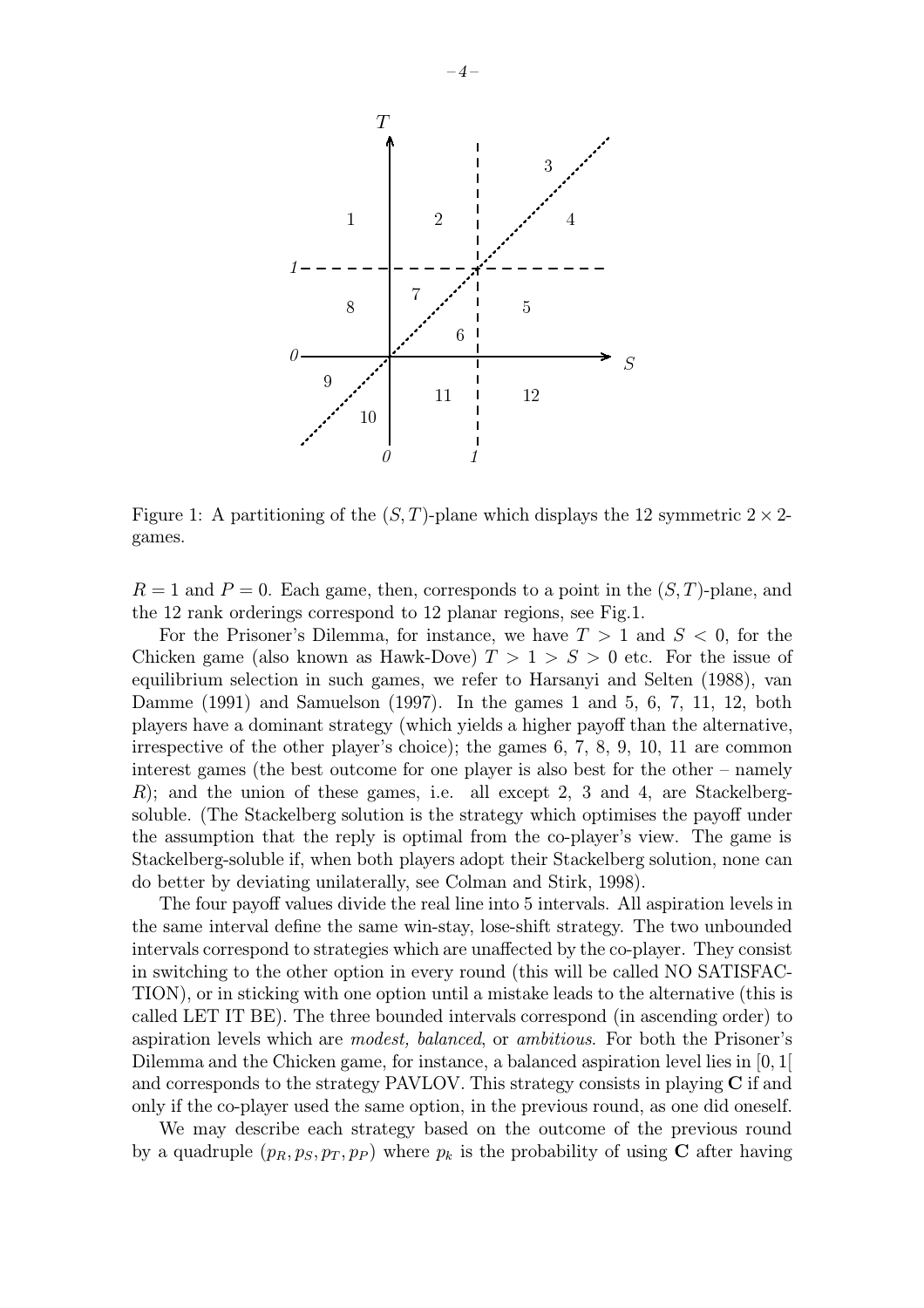

Figure 1: A partitioning of the  $(S, T)$ -plane which displays the 12 symmetric  $2 \times 2$ games.

 $R = 1$  and  $P = 0$ . Each game, then, corresponds to a point in the  $(S, T)$ -plane, and the 12 rank orderings correspond to 12 planar regions, see Fig.1.

For the Prisoner's Dilemma, for instance, we have  $T > 1$  and  $S < 0$ , for the Chicken game (also known as Hawk-Dove)  $T > 1 > S > 0$  etc. For the issue of equilibrium selection in such games, we refer to Harsanyi and Selten (1988), van Damme (1991) and Samuelson (1997). In the games 1 and 5, 6, 7, 11, 12, both players have a dominant strategy (which yields a higher payoff than the alternative, irrespective of the other player's choice); the games 6, 7, 8, 9, 10, 11 are common interest games (the best outcome for one player is also best for the other – namely  $R$ ; and the union of these games, i.e. all except 2, 3 and 4, are Stackelbergsoluble. (The Stackelberg solution is the strategy which optimises the payoff under the assumption that the reply is optimal from the co-player's view. The game is Stackelberg-soluble if, when both players adopt their Stackelberg solution, none can do better by deviating unilaterally, see Colman and Stirk, 1998).

The four payoff values divide the real line into 5 intervals. All aspiration levels in the same interval define the same win-stay, lose-shift strategy. The two unbounded intervals correspond to strategies which are unaffected by the co-player. They consist in switching to the other option in every round (this will be called NO SATISFAC-TION), or in sticking with one option until a mistake leads to the alternative (this is called LET IT BE). The three bounded intervals correspond (in ascending order) to aspiration levels which are modest, balanced, or ambitious. For both the Prisoner's Dilemma and the Chicken game, for instance, a balanced aspiration level lies in [0, 1[ and corresponds to the strategy PAVLOV. This strategy consists in playing  $C$  if and only if the co-player used the same option, in the previous round, as one did oneself.

We may describe each strategy based on the outcome of the previous round by a quadruple  $(p_R, p_S, p_T, p_P)$  where  $p_k$  is the probability of using C after having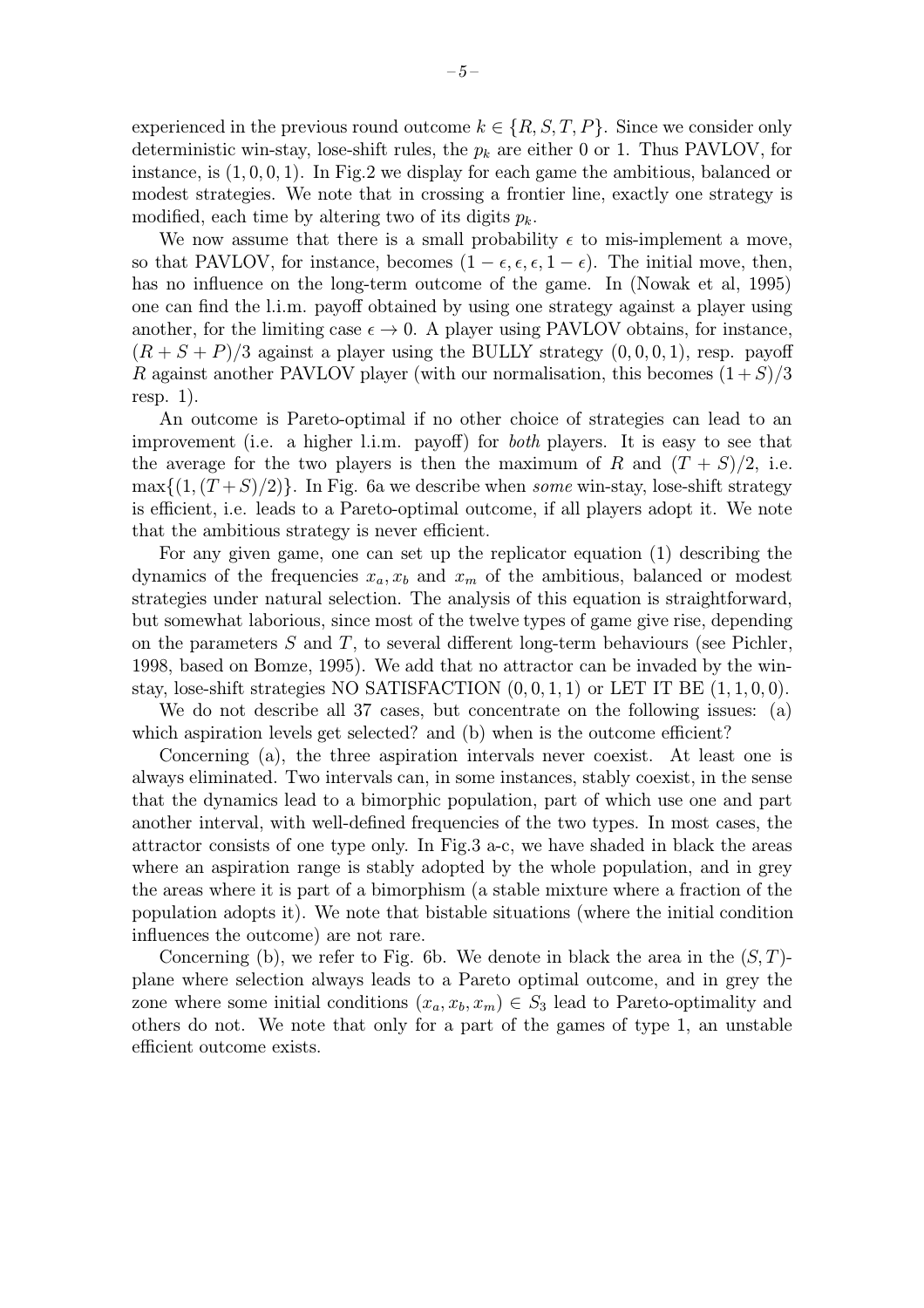experienced in the previous round outcome  $k \in \{R, S, T, P\}$ . Since we consider only deterministic win-stay, lose-shift rules, the  $p_k$  are either 0 or 1. Thus PAVLOV, for instance, is  $(1, 0, 0, 1)$ . In Fig. 2 we display for each game the ambitious, balanced or modest strategies. We note that in crossing a frontier line, exactly one strategy is modified, each time by altering two of its digits  $p_k$ .

We now assume that there is a small probability  $\epsilon$  to mis-implement a move, so that PAVLOV, for instance, becomes  $(1 - \epsilon, \epsilon, \epsilon, 1 - \epsilon)$ . The initial move, then, has no influence on the long-term outcome of the game. In (Nowak et al, 1995) one can find the l.i.m. payoff obtained by using one strategy against a player using another, for the limiting case  $\epsilon \to 0$ . A player using PAVLOV obtains, for instance,  $(R + S + P)/3$  against a player using the BULLY strategy  $(0, 0, 0, 1)$ , resp. payoff R against another PAVLOV player (with our normalisation, this becomes  $(1+S)/3$ resp. 1).

An outcome is Pareto-optimal if no other choice of strategies can lead to an improvement (i.e. a higher l.i.m. payoff) for both players. It is easy to see that the average for the two players is then the maximum of R and  $(T + S)/2$ , i.e.  $\max\{(1,(T+S)/2)\}\.$  In Fig. 6a we describe when some win-stay, lose-shift strategy is efficient, i.e. leads to a Pareto-optimal outcome, if all players adopt it. We note that the ambitious strategy is never efficient.

For any given game, one can set up the replicator equation (1) describing the dynamics of the frequencies  $x_a, x_b$  and  $x_m$  of the ambitious, balanced or modest strategies under natural selection. The analysis of this equation is straightforward, but somewhat laborious, since most of the twelve types of game give rise, depending on the parameters  $S$  and  $T$ , to several different long-term behaviours (see Pichler, 1998, based on Bomze, 1995). We add that no attractor can be invaded by the winstay, lose-shift strategies NO SATISFACTION  $(0, 0, 1, 1)$  or LET IT BE  $(1, 1, 0, 0)$ .

We do not describe all 37 cases, but concentrate on the following issues: (a) which aspiration levels get selected? and (b) when is the outcome efficient?

Concerning (a), the three aspiration intervals never coexist. At least one is always eliminated. Two intervals can, in some instances, stably coexist, in the sense that the dynamics lead to a bimorphic population, part of which use one and part another interval, with well-defined frequencies of the two types. In most cases, the attractor consists of one type only. In Fig.3 a-c, we have shaded in black the areas where an aspiration range is stably adopted by the whole population, and in grey the areas where it is part of a bimorphism (a stable mixture where a fraction of the population adopts it). We note that bistable situations (where the initial condition influences the outcome) are not rare.

Concerning (b), we refer to Fig. 6b. We denote in black the area in the  $(S, T)$ plane where selection always leads to a Pareto optimal outcome, and in grey the zone where some initial conditions  $(x_a, x_b, x_m) \in S_3$  lead to Pareto-optimality and others do not. We note that only for a part of the games of type 1, an unstable efficient outcome exists.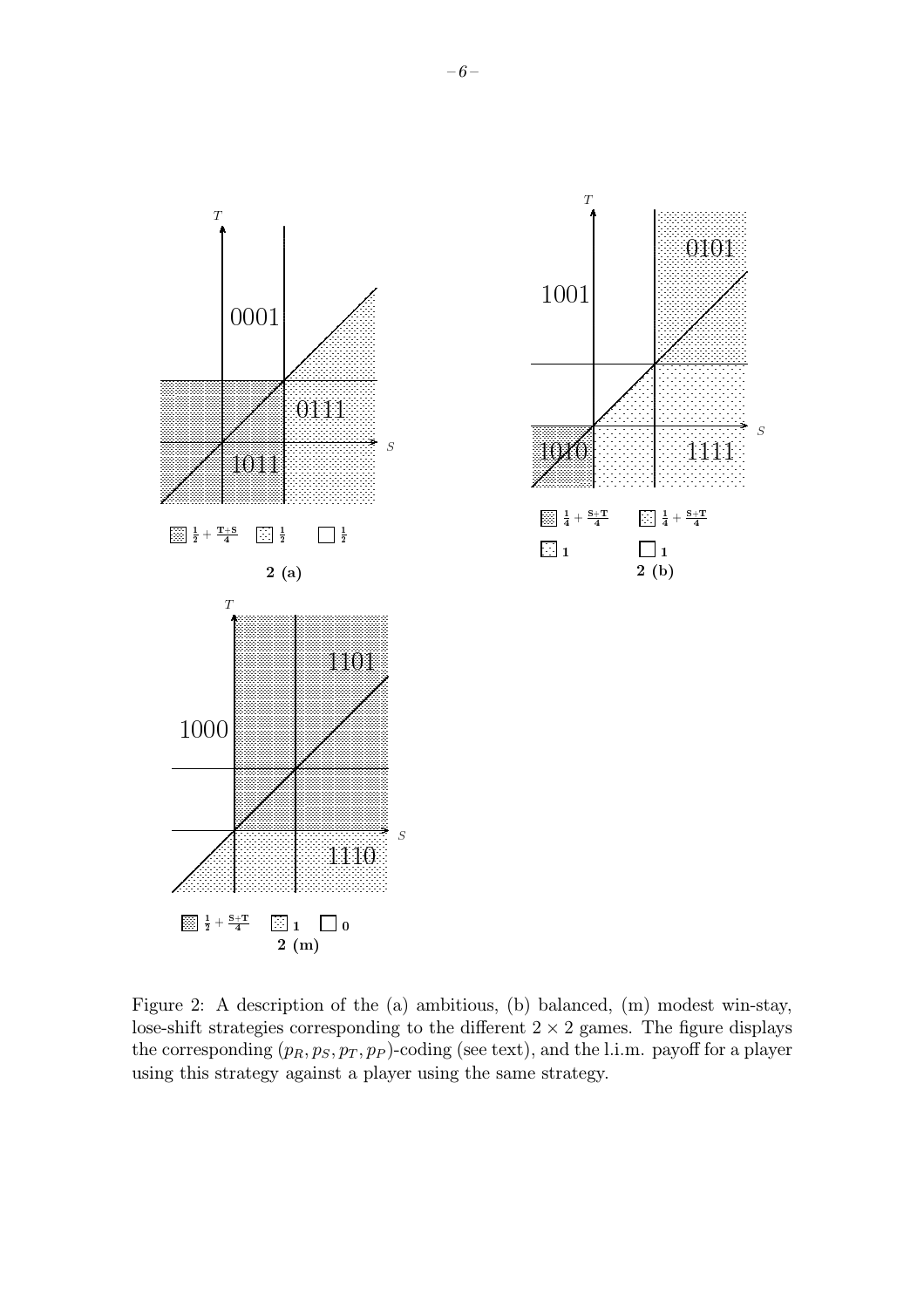

Figure 2: A description of the (a) ambitious, (b) balanced, (m) modest win-stay, lose-shift strategies corresponding to the different  $2 \times 2$  games. The figure displays the corresponding  $(p_R, p_S, p_T, p_P)$ -coding (see text), and the l.i.m. payoff for a player using this strategy against a player using the same strategy.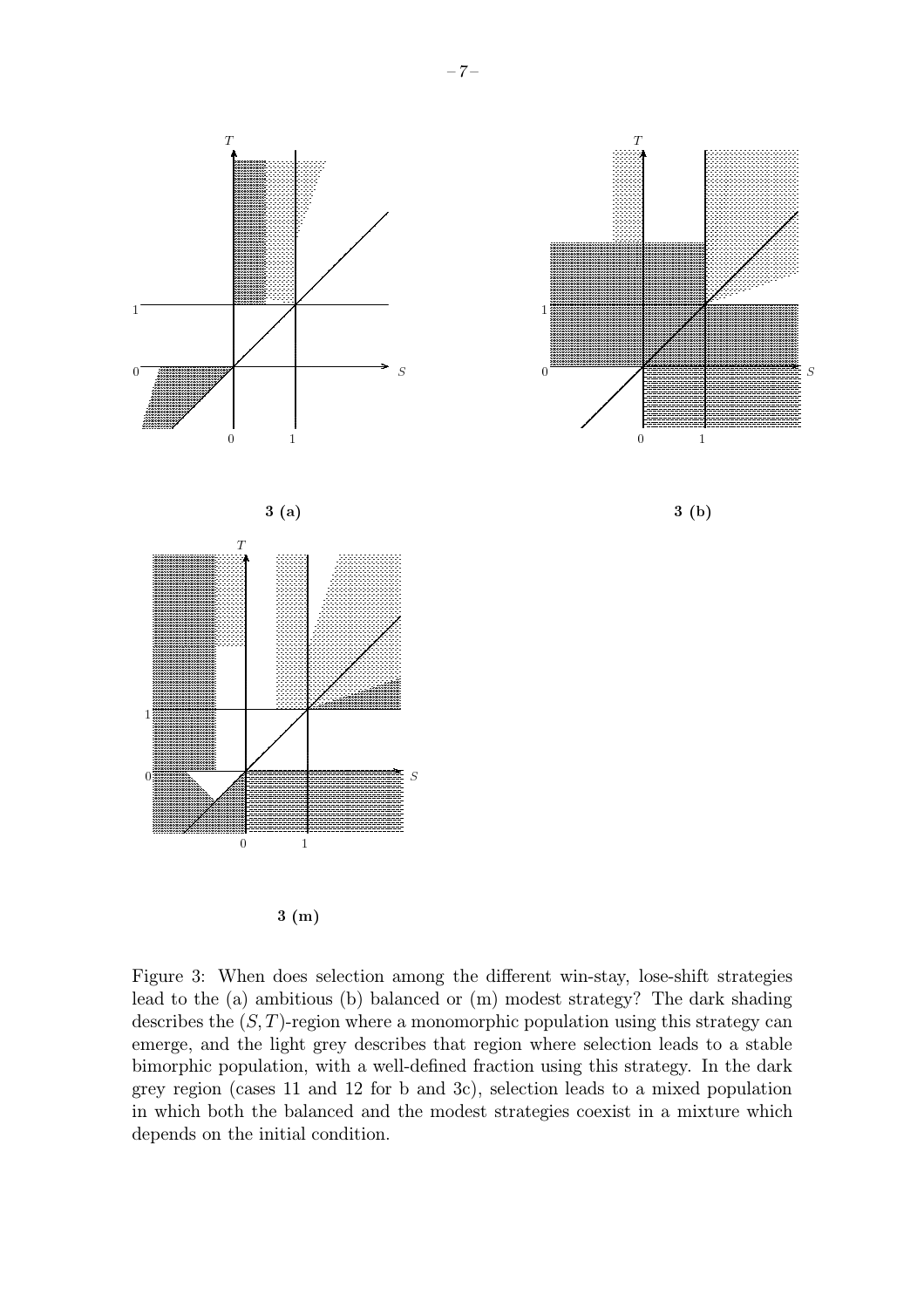

 $3(m)$ 

Figure 3: When does selection among the different win-stay, lose-shift strategies lead to the (a) ambitious (b) balanced or (m) modest strategy? The dark shading describes the  $(S, T)$ -region where a monomorphic population using this strategy can emerge, and the light grey describes that region where selection leads to a stable bimorphic population, with a well-defined fraction using this strategy. In the dark grey region (cases 11 and 12 for b and 3c), selection leads to a mixed population in which both the balanced and the modest strategies coexist in a mixture which depends on the initial condition.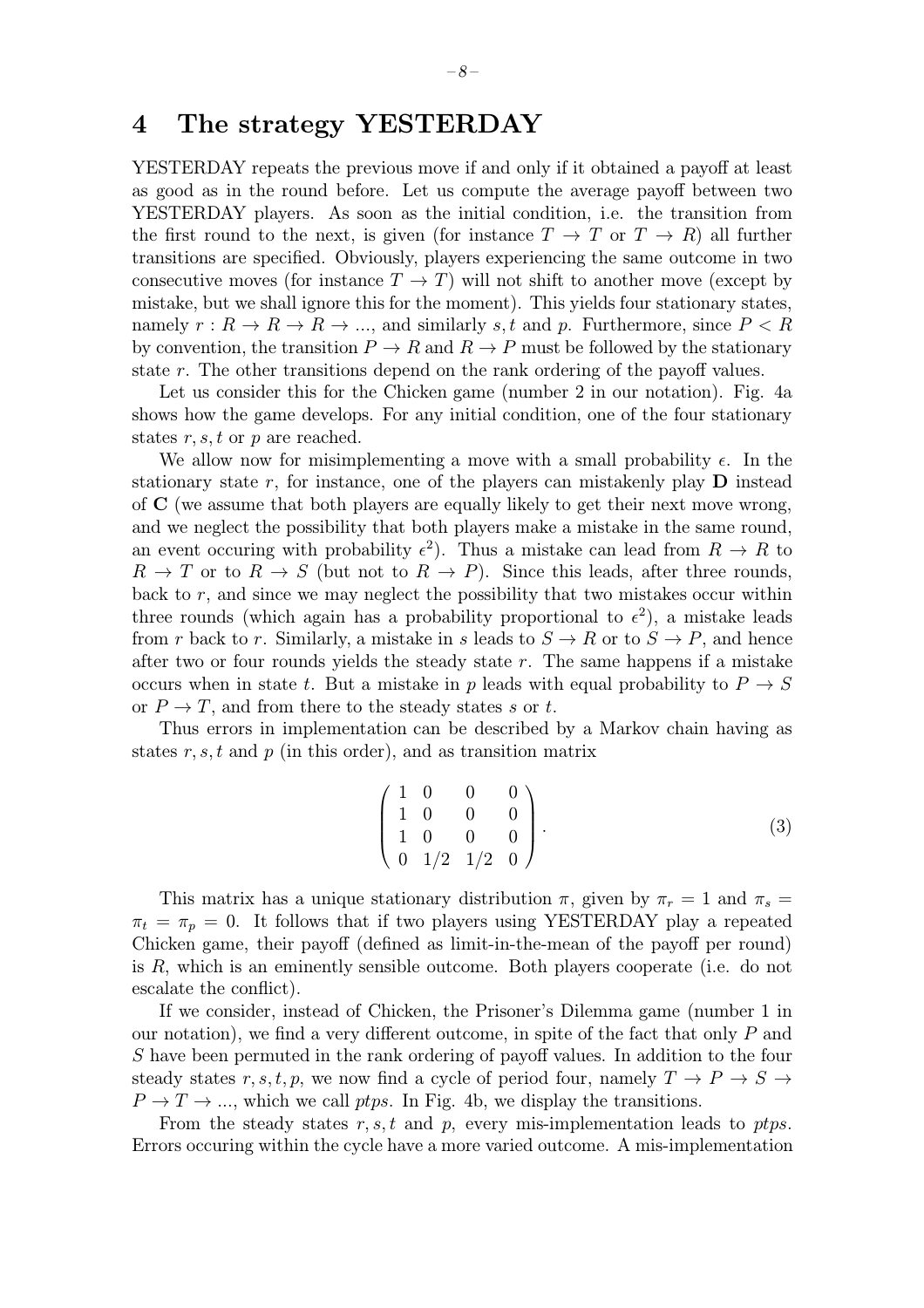### 4 The strategy YESTERDAY

YESTERDAY repeats the previous move if and only if it obtained a payoff at least as good as in the round before. Let us compute the average payoff between two YESTERDAY players. As soon as the initial condition, i.e. the transition from the first round to the next, is given (for instance  $T \to T$  or  $T \to R$ ) all further transitions are specified. Obviously, players experiencing the same outcome in two consecutive moves (for instance  $T \to T$ ) will not shift to another move (except by mistake, but we shall ignore this for the moment). This yields four stationary states, namely  $r: R \to R \to R \to \dots$ , and similarly s, t and p. Furthermore, since  $P < R$ by convention, the transition  $P \to R$  and  $R \to P$  must be followed by the stationary state r. The other transitions depend on the rank ordering of the payoff values.

Let us consider this for the Chicken game (number 2 in our notation). Fig. 4a shows how the game develops. For any initial condition, one of the four stationary states  $r, s, t$  or  $p$  are reached.

We allow now for misimplementing a move with a small probability  $\epsilon$ . In the stationary state r, for instance, one of the players can mistakenly play  $\bf{D}$  instead of C (we assume that both players are equally likely to get their next move wrong, and we neglect the possibility that both players make a mistake in the same round, an event occuring with probability  $\epsilon^2$ ). Thus a mistake can lead from  $R \to R$  to  $R \to T$  or to  $R \to S$  (but not to  $R \to P$ ). Since this leads, after three rounds, back to  $r$ , and since we may neglect the possibility that two mistakes occur within three rounds (which again has a probability proportional to  $\epsilon^2$ ), a mistake leads from r back to r. Similarly, a mistake in s leads to  $S \to R$  or to  $S \to P$ , and hence after two or four rounds yields the steady state  $r$ . The same happens if a mistake occurs when in state t. But a mistake in p leads with equal probability to  $P \to S$ or  $P \to T$ , and from there to the steady states s or t.

Thus errors in implementation can be described by a Markov chain having as states  $r, s, t$  and  $p$  (in this order), and as transition matrix

$$
\left(\begin{array}{cccc} 1 & 0 & 0 & 0 \\ 1 & 0 & 0 & 0 \\ 1 & 0 & 0 & 0 \\ 0 & 1/2 & 1/2 & 0 \end{array}\right).
$$
 (3)

This matrix has a unique stationary distribution  $\pi$ , given by  $\pi_r = 1$  and  $\pi_s =$  $\pi_t = \pi_p = 0$ . It follows that if two players using YESTERDAY play a repeated Chicken game, their payoff (defined as limit-in-the-mean of the payoff per round) is R, which is an eminently sensible outcome. Both players cooperate (i.e. do not escalate the conflict).

If we consider, instead of Chicken, the Prisoner's Dilemma game (number 1 in our notation), we find a very different outcome, in spite of the fact that only  $P$  and S have been permuted in the rank ordering of payoff values. In addition to the four steady states r, s, t, p, we now find a cycle of period four, namely  $T \to P \to S \to$  $P \to T \to \dots$ , which we call ptps. In Fig. 4b, we display the transitions.

From the steady states  $r, s, t$  and  $p$ , every mis-implementation leads to ptps. Errors occuring within the cycle have a more varied outcome. A mis-implementation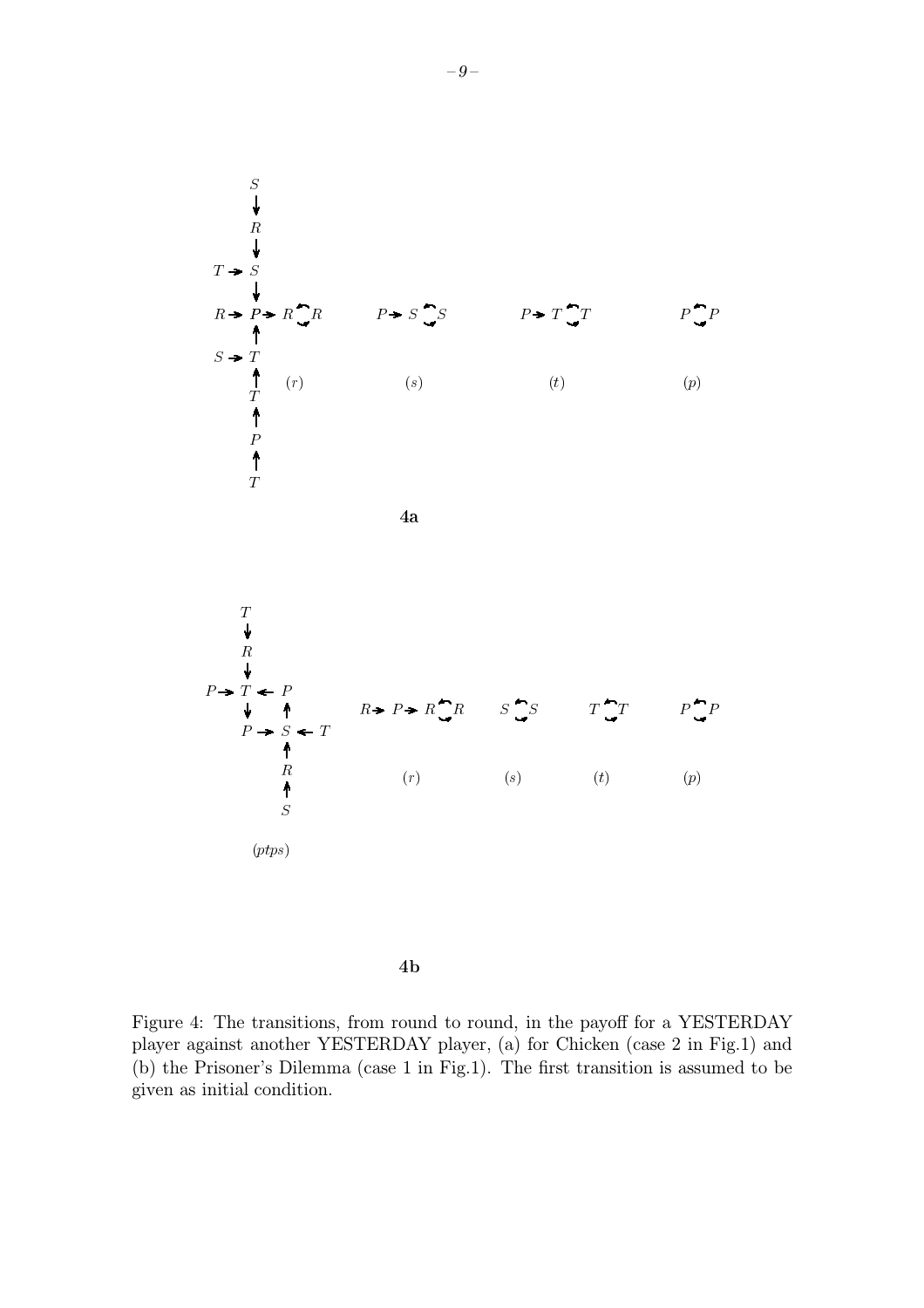

 $4<sub>b</sub>$ 

Figure 4: The transitions, from round to round, in the payoff for a YESTERDAY player against another YESTERDAY player, (a) for Chicken (case 2 in Fig.1) and (b) the Prisoner's Dilemma (case 1 in Fig.1). The first transition is assumed to be given as initial condition.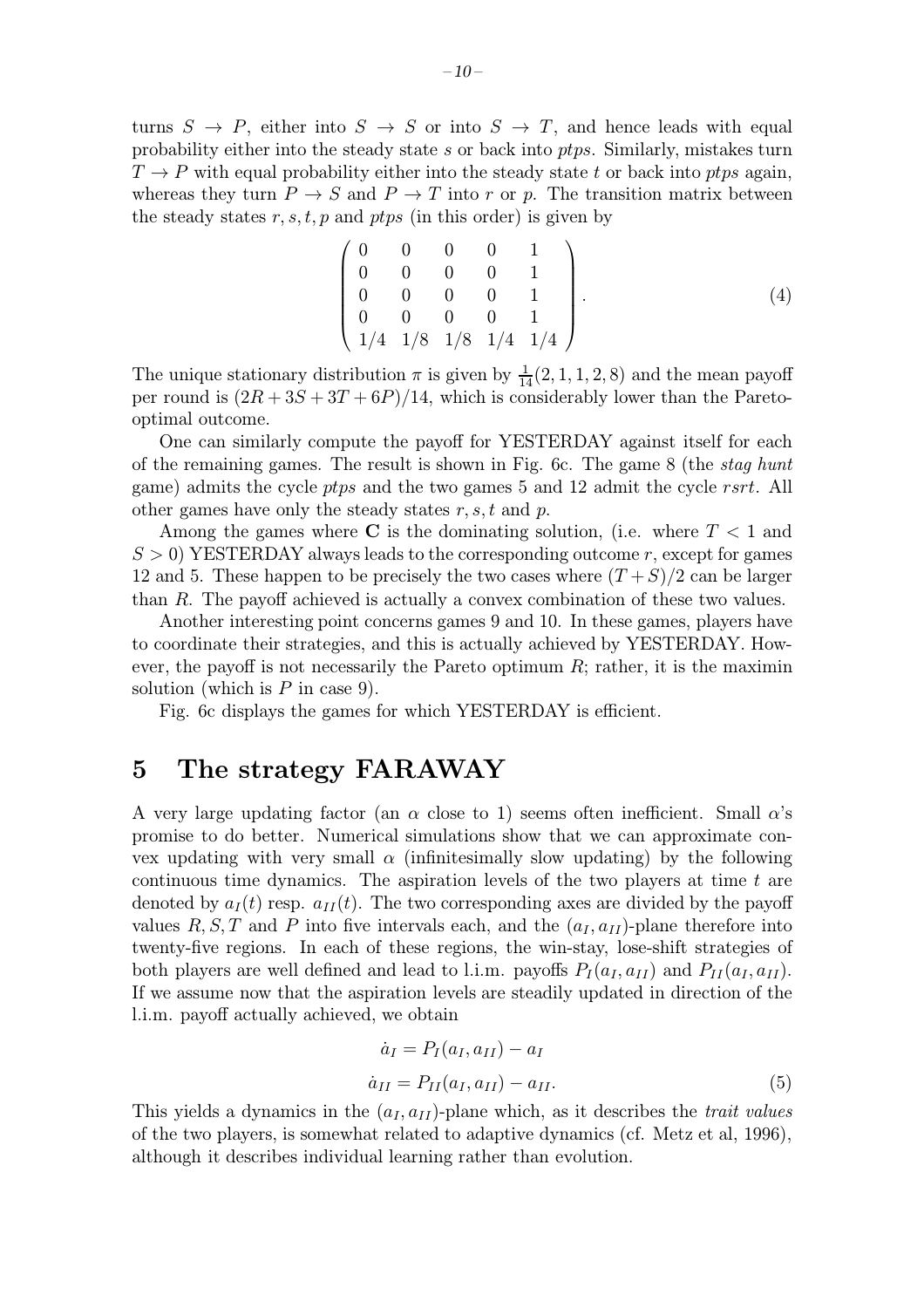turns  $S \to P$ , either into  $S \to S$  or into  $S \to T$ , and hence leads with equal probability either into the steady state s or back into ptps. Similarly, mistakes turn  $T \rightarrow P$  with equal probability either into the steady state t or back into ptps again, whereas they turn  $P \to S$  and  $P \to T$  into r or p. The transition matrix between the steady states  $r, s, t, p$  and ptps (in this order) is given by

$$
\begin{pmatrix} 0 & 0 & 0 & 0 & 1 \\ 0 & 0 & 0 & 0 & 1 \\ 0 & 0 & 0 & 0 & 1 \\ 0 & 0 & 0 & 0 & 1 \\ 1/4 & 1/8 & 1/8 & 1/4 & 1/4 \end{pmatrix}.
$$
 (4)

The unique stationary distribution  $\pi$  is given by  $\frac{1}{14}(2, 1, 1, 2, 8)$  and the mean payoff per round is  $(2R + 3S + 3T + 6P)/14$ , which is considerably lower than the Paretooptimal outcome.

One can similarly compute the payoff for YESTERDAY against itself for each of the remaining games. The result is shown in Fig. 6c. The game 8 (the stag hunt game) admits the cycle ptps and the two games 5 and 12 admit the cycle rsrt. All other games have only the steady states  $r, s, t$  and p.

Among the games where C is the dominating solution, (i.e. where  $T < 1$  and  $S > 0$ ) YESTERDAY always leads to the corresponding outcome r, except for games 12 and 5. These happen to be precisely the two cases where  $(T+S)/2$  can be larger than R. The payoff achieved is actually a convex combination of these two values.

Another interesting point concerns games 9 and 10. In these games, players have to coordinate their strategies, and this is actually achieved by YESTERDAY. However, the payoff is not necessarily the Pareto optimum  $R$ ; rather, it is the maximin solution (which is  $P$  in case 9).

Fig. 6c displays the games for which YESTERDAY is efficient.

### 5 The strategy FARAWAY

A very large updating factor (an  $\alpha$  close to 1) seems often inefficient. Small  $\alpha$ 's promise to do better. Numerical simulations show that we can approximate convex updating with very small  $\alpha$  (infinitesimally slow updating) by the following continuous time dynamics. The aspiration levels of the two players at time  $t$  are denoted by  $a_I(t)$  resp.  $a_{II}(t)$ . The two corresponding axes are divided by the payoff values R, S, T and P into five intervals each, and the  $(a_I, a_{II})$ -plane therefore into twenty-five regions. In each of these regions, the win-stay, lose-shift strategies of both players are well defined and lead to l.i.m. payoffs  $P_I(a_I, a_{II})$  and  $P_{II}(a_I, a_{II})$ . If we assume now that the aspiration levels are steadily updated in direction of the l.i.m. payoff actually achieved, we obtain

$$
\dot{a}_I = P_I(a_I, a_{II}) - a_I \n\dot{a}_{II} = P_{II}(a_I, a_{II}) - a_{II}.
$$
\n(5)

This yields a dynamics in the  $(a_I, a_{II})$ -plane which, as it describes the *trait values* of the two players, is somewhat related to adaptive dynamics (cf. Metz et al, 1996), although it describes individual learning rather than evolution.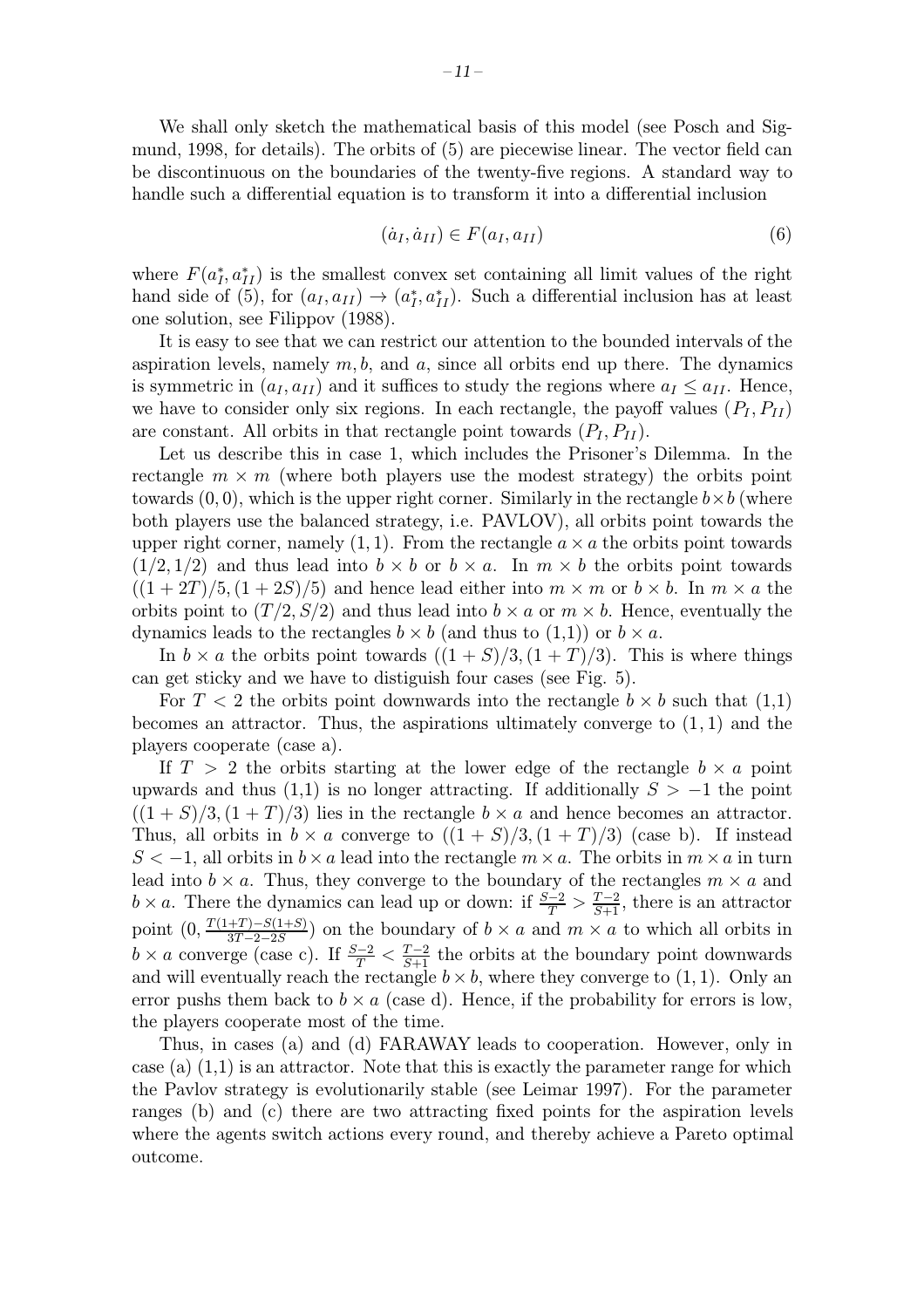We shall only sketch the mathematical basis of this model (see Posch and Sigmund, 1998, for details). The orbits of (5) are piecewise linear. The vector field can be discontinuous on the boundaries of the twenty-five regions. A standard way to handle such a differential equation is to transform it into a differential inclusion

$$
(\dot{a}_I, \dot{a}_{II}) \in F(a_I, a_{II}) \tag{6}
$$

where  $F(a_I^*, a_{II}^*)$  is the smallest convex set containing all limit values of the right hand side of (5), for  $(a_I, a_{II}) \rightarrow (a_I^*, a_{II}^*)$ . Such a differential inclusion has at least one solution, see Filippov (1988).

It is easy to see that we can restrict our attention to the bounded intervals of the aspiration levels, namely  $m, b$ , and  $a$ , since all orbits end up there. The dynamics is symmetric in  $(a_I, a_{II})$  and it suffices to study the regions where  $a_I \le a_{II}$ . Hence, we have to consider only six regions. In each rectangle, the payoff values  $(P_I, P_{II})$ are constant. All orbits in that rectangle point towards  $(P_I, P_{II})$ .

Let us describe this in case 1, which includes the Prisoner's Dilemma. In the rectangle  $m \times m$  (where both players use the modest strategy) the orbits point towards  $(0, 0)$ , which is the upper right corner. Similarly in the rectangle  $b \times b$  (where both players use the balanced strategy, i.e. PAVLOV), all orbits point towards the upper right corner, namely  $(1, 1)$ . From the rectangle  $a \times a$  the orbits point towards  $(1/2, 1/2)$  and thus lead into  $b \times b$  or  $b \times a$ . In  $m \times b$  the orbits point towards  $((1+2T)/5,(1+2S)/5)$  and hence lead either into  $m \times m$  or  $b \times b$ . In  $m \times a$  the orbits point to  $(T/2, S/2)$  and thus lead into  $b \times a$  or  $m \times b$ . Hence, eventually the dynamics leads to the rectangles  $b \times b$  (and thus to  $(1,1)$ ) or  $b \times a$ .

In  $b \times a$  the orbits point towards  $((1 + S)/3, (1 + T)/3)$ . This is where things can get sticky and we have to distiguish four cases (see Fig. 5).

For  $T < 2$  the orbits point downwards into the rectangle  $b \times b$  such that  $(1,1)$ becomes an attractor. Thus, the aspirations ultimately converge to  $(1, 1)$  and the players cooperate (case a).

If  $T > 2$  the orbits starting at the lower edge of the rectangle  $b \times a$  point upwards and thus (1,1) is no longer attracting. If additionally  $S > -1$  the point  $((1 + S)/3, (1 + T)/3)$  lies in the rectangle  $b \times a$  and hence becomes an attractor. Thus, all orbits in  $b \times a$  converge to  $((1 + S)/3, (1 + T)/3)$  (case b). If instead  $S < -1$ , all orbits in  $b \times a$  lead into the rectangle  $m \times a$ . The orbits in  $m \times a$  in turn lead into  $b \times a$ . Thus, they converge to the boundary of the rectangles  $m \times a$  and  $b \times a$ . There the dynamics can lead up or down: if  $\frac{S-2}{T} > \frac{T-2}{S+1}$ , there is an attractor point  $(0, \frac{T(1+T)-S(1+S)}{3T-2-2S})$  on the boundary of  $b \times a$  and  $m \times a$  to which all orbits in  $b \times a$  converge (case c). If  $\frac{S-2}{T} < \frac{T-2}{S+1}$  the orbits at the boundary point downwards and will eventually reach the rectangle  $b \times b$ , where they converge to (1, 1). Only an error pushs them back to  $b \times a$  (case d). Hence, if the probability for errors is low, the players cooperate most of the time.

Thus, in cases (a) and (d) FARAWAY leads to cooperation. However, only in case (a)  $(1,1)$  is an attractor. Note that this is exactly the parameter range for which the Pavlov strategy is evolutionarily stable (see Leimar 1997). For the parameter ranges (b) and (c) there are two attracting fixed points for the aspiration levels where the agents switch actions every round, and thereby achieve a Pareto optimal outcome.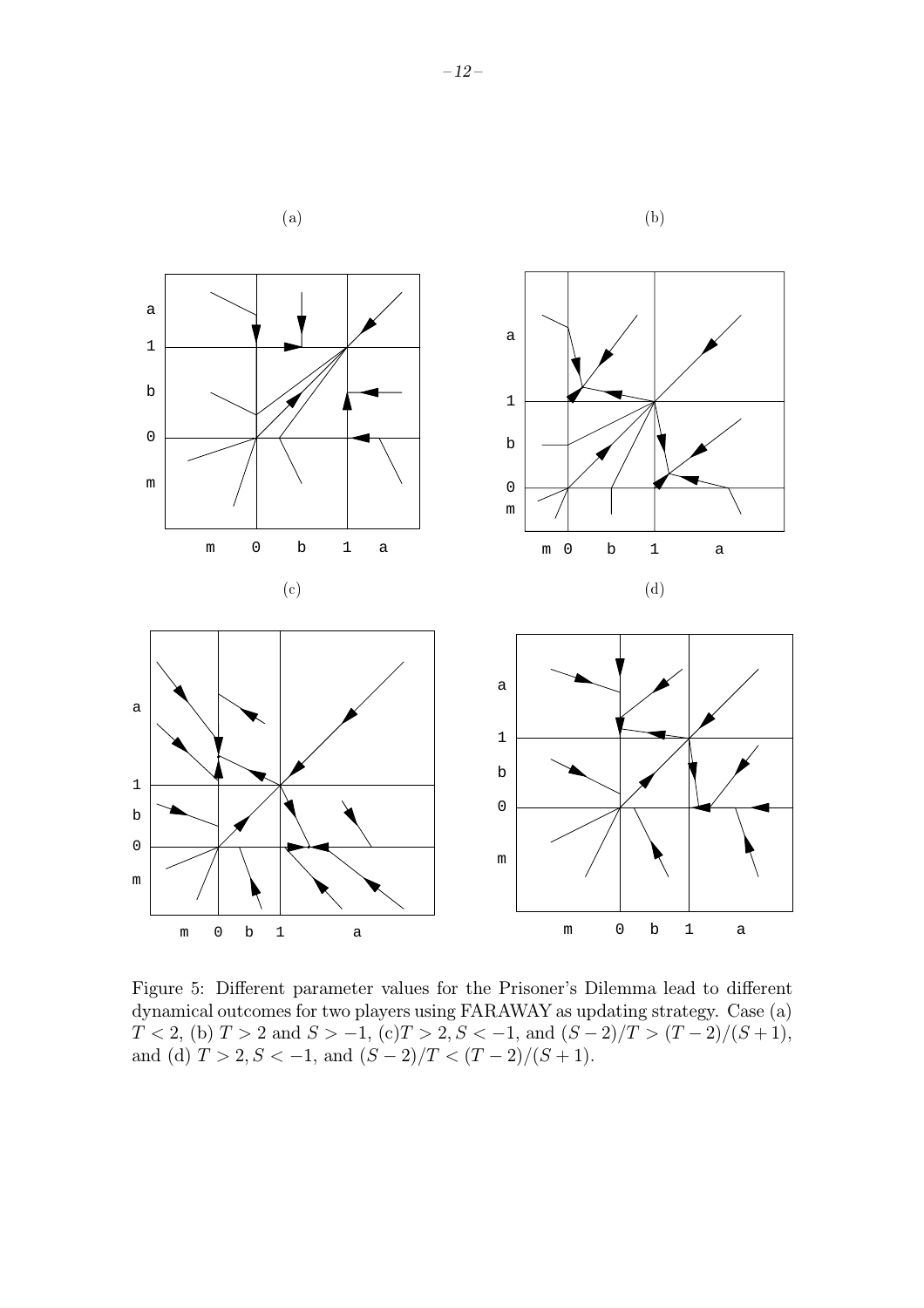

Figure 5: Different parameter values for the Prisoner's Dilemma lead to different dynamical outcomes for two players using FARAWAY as updating strategy. Case (a)  $T < 2$ , (b)  $T > 2$  and  $S > -1$ , (c) $T > 2$ ,  $S < -1$ , and  $(S - 2)/T > (T - 2)/(S + 1)$ , and (d)  $T > 2, S < -1$ , and  $(S-2)/T < (T-2)/(S+1)$ .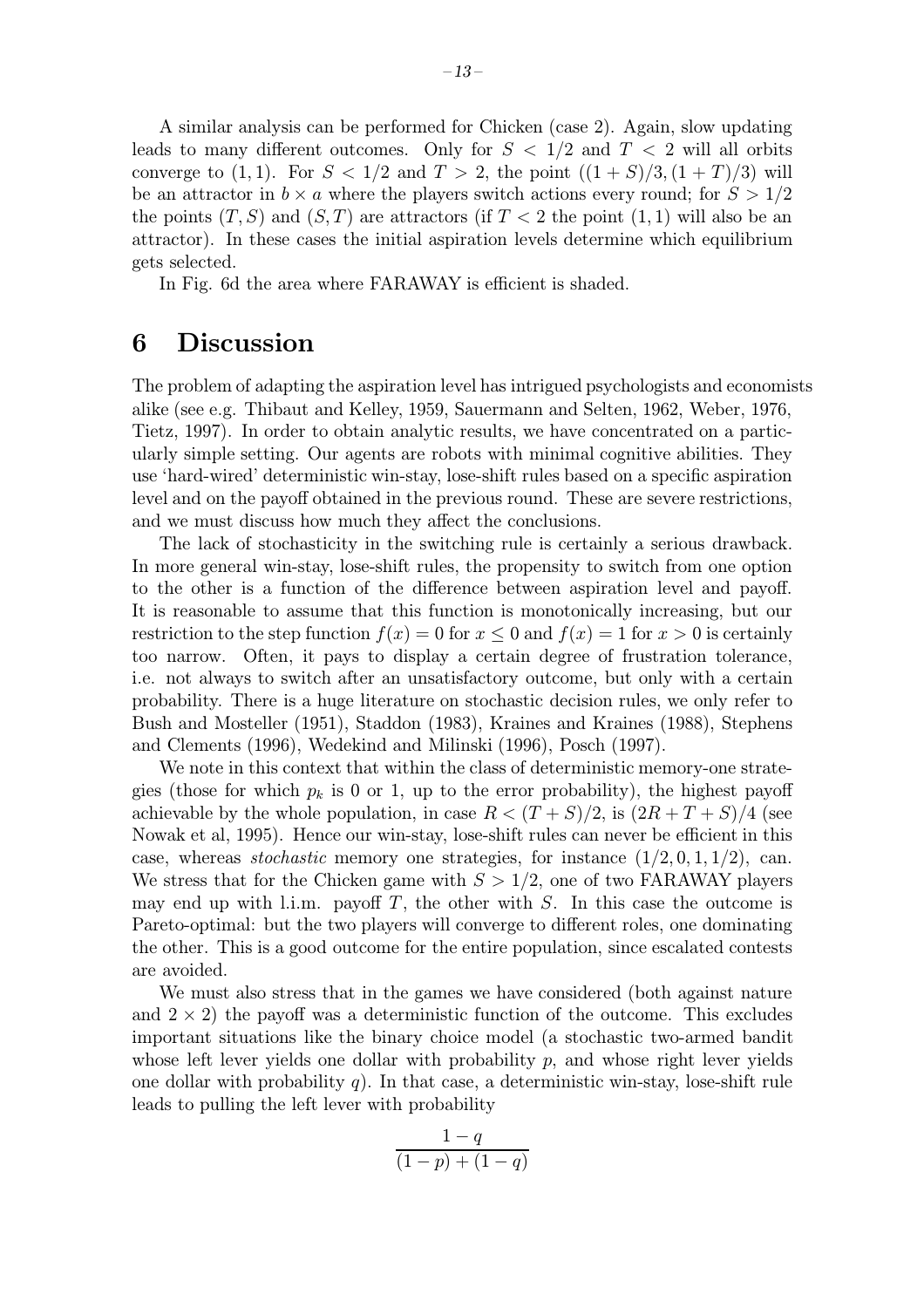A similar analysis can be performed for Chicken (case 2). Again, slow updating leads to many different outcomes. Only for  $S < 1/2$  and  $T < 2$  will all orbits converge to (1, 1). For  $S < 1/2$  and  $T > 2$ , the point  $((1 + S)/3, (1 + T)/3)$  will be an attractor in  $b \times a$  where the players switch actions every round; for  $S > 1/2$ the points  $(T, S)$  and  $(S, T)$  are attractors (if  $T < 2$  the point  $(1, 1)$  will also be an attractor). In these cases the initial aspiration levels determine which equilibrium gets selected.

In Fig. 6d the area where FARAWAY is efficient is shaded.

## 6 Discussion

The problem of adapting the aspiration level has intrigued psychologists and economists alike (see e.g. Thibaut and Kelley, 1959, Sauermann and Selten, 1962, Weber, 1976, Tietz, 1997). In order to obtain analytic results, we have concentrated on a particularly simple setting. Our agents are robots with minimal cognitive abilities. They use 'hard-wired' deterministic win-stay, lose-shift rules based on a specific aspiration level and on the payoff obtained in the previous round. These are severe restrictions, and we must discuss how much they affect the conclusions.

The lack of stochasticity in the switching rule is certainly a serious drawback. In more general win-stay, lose-shift rules, the propensity to switch from one option to the other is a function of the difference between aspiration level and payoff. It is reasonable to assume that this function is monotonically increasing, but our restriction to the step function  $f(x) = 0$  for  $x \le 0$  and  $f(x) = 1$  for  $x > 0$  is certainly too narrow. Often, it pays to display a certain degree of frustration tolerance, i.e. not always to switch after an unsatisfactory outcome, but only with a certain probability. There is a huge literature on stochastic decision rules, we only refer to Bush and Mosteller (1951), Staddon (1983), Kraines and Kraines (1988), Stephens and Clements (1996), Wedekind and Milinski (1996), Posch (1997).

We note in this context that within the class of deterministic memory-one strategies (those for which  $p_k$  is 0 or 1, up to the error probability), the highest payoff achievable by the whole population, in case  $R < (T + S)/2$ , is  $(2R + T + S)/4$  (see Nowak et al, 1995). Hence our win-stay, lose-shift rules can never be efficient in this case, whereas *stochastic* memory one strategies, for instance  $(1/2, 0, 1, 1/2)$ , can. We stress that for the Chicken game with  $S > 1/2$ , one of two FARAWAY players may end up with l.i.m. payoff  $T$ , the other with  $S$ . In this case the outcome is Pareto-optimal: but the two players will converge to different roles, one dominating the other. This is a good outcome for the entire population, since escalated contests are avoided.

We must also stress that in the games we have considered (both against nature and  $2 \times 2$ ) the payoff was a deterministic function of the outcome. This excludes important situations like the binary choice model (a stochastic two-armed bandit whose left lever yields one dollar with probability  $p$ , and whose right lever yields one dollar with probability  $q$ ). In that case, a deterministic win-stay, lose-shift rule leads to pulling the left lever with probability

$$
\frac{1-q}{(1-p)+(1-q)}
$$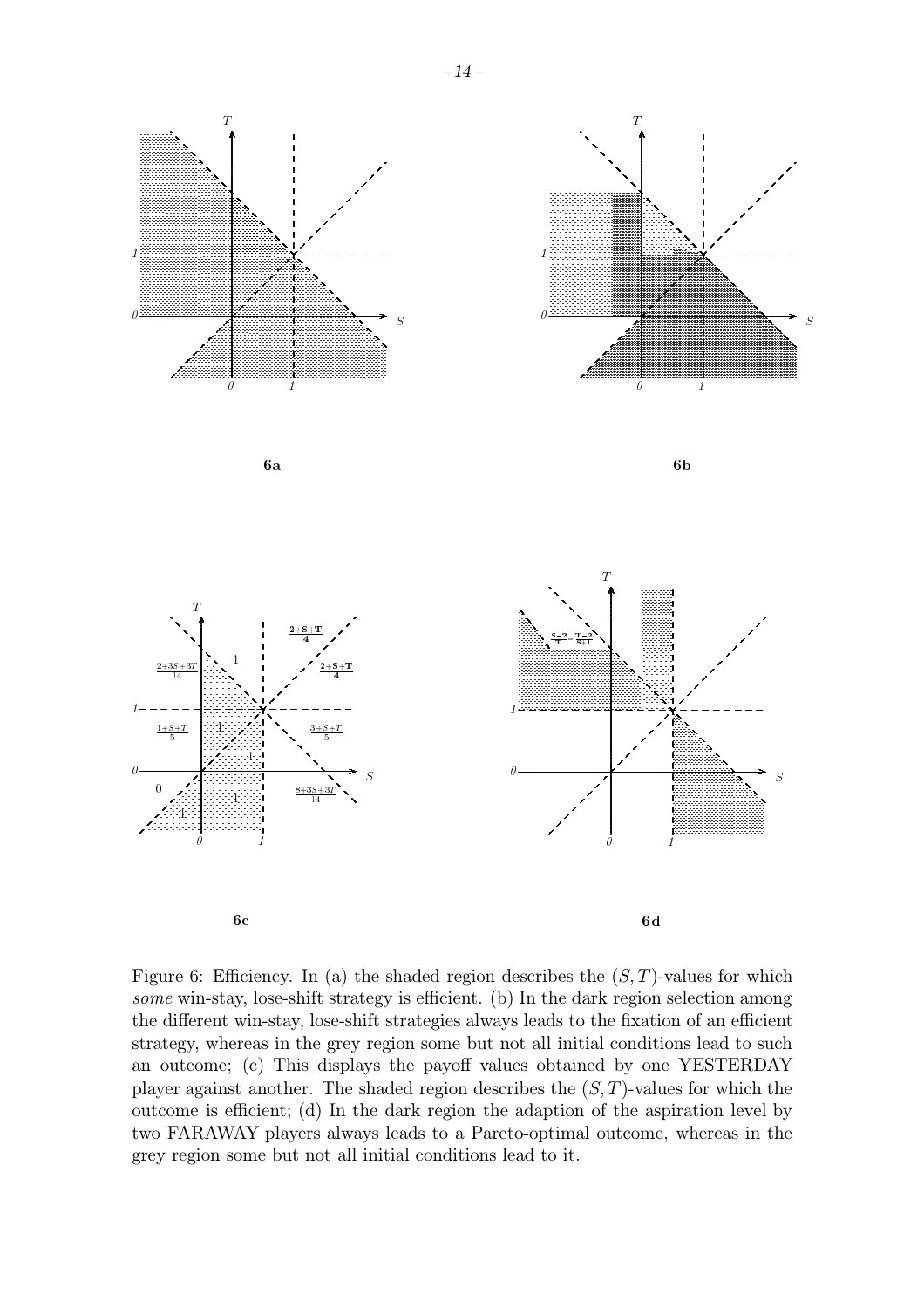

Figure 6: Efficiency. In (a) the shaded region describes the  $(S, T)$ -values for which some win-stay, lose-shift strategy is efficient. (b) In the dark region selection among the different win-stay, lose-shift strategies always leads to the fixation of an efficient strategy, whereas in the grey region some but not all initial conditions lead to such an outcome; (c) This displays the payoff values obtained by one YESTERDAY player against another. The shaded region describes the  $(S, T)$ -values for which the outcome is efficient; (d) In the dark region the adaption of the aspiration level by two FARAWAY players always leads to a Pareto-optimal outcome, whereas in the grey region some but not all initial conditions lead to it.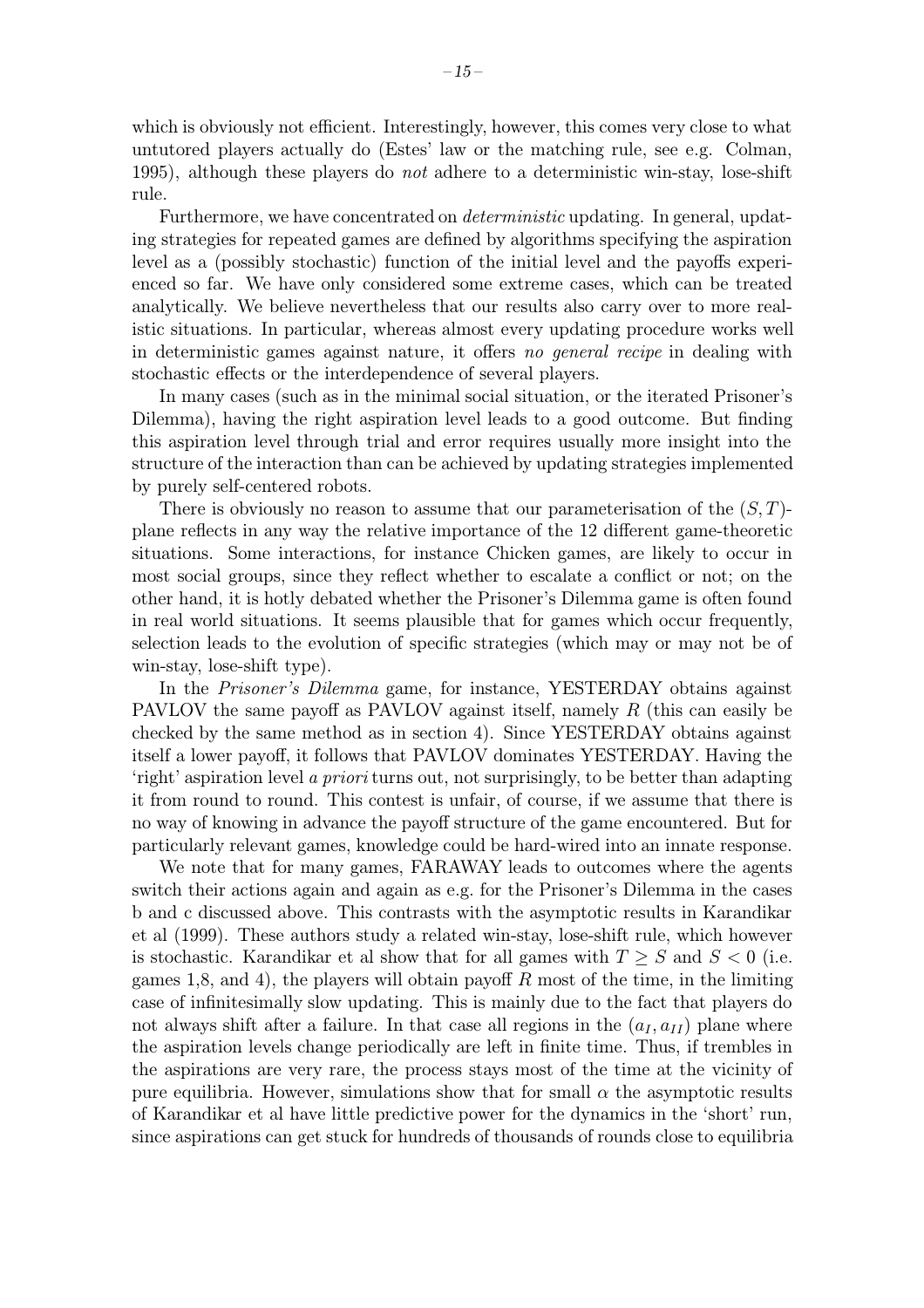which is obviously not efficient. Interestingly, however, this comes very close to what untutored players actually do (Estes' law or the matching rule, see e.g. Colman, 1995), although these players do not adhere to a deterministic win-stay, lose-shift rule.

Furthermore, we have concentrated on *deterministic* updating. In general, updating strategies for repeated games are defined by algorithms specifying the aspiration level as a (possibly stochastic) function of the initial level and the payoffs experienced so far. We have only considered some extreme cases, which can be treated analytically. We believe nevertheless that our results also carry over to more realistic situations. In particular, whereas almost every updating procedure works well in deterministic games against nature, it offers no general recipe in dealing with stochastic effects or the interdependence of several players.

In many cases (such as in the minimal social situation, or the iterated Prisoner's Dilemma), having the right aspiration level leads to a good outcome. But finding this aspiration level through trial and error requires usually more insight into the structure of the interaction than can be achieved by updating strategies implemented by purely self-centered robots.

There is obviously no reason to assume that our parameterisation of the  $(S, T)$ plane reflects in any way the relative importance of the 12 different game-theoretic situations. Some interactions, for instance Chicken games, are likely to occur in most social groups, since they reflect whether to escalate a conflict or not; on the other hand, it is hotly debated whether the Prisoner's Dilemma game is often found in real world situations. It seems plausible that for games which occur frequently, selection leads to the evolution of specific strategies (which may or may not be of win-stay, lose-shift type).

In the *Prisoner's Dilemma* game, for instance, YESTERDAY obtains against PAVLOV the same payoff as PAVLOV against itself, namely R (this can easily be checked by the same method as in section 4). Since YESTERDAY obtains against itself a lower payoff, it follows that PAVLOV dominates YESTERDAY. Having the 'right' aspiration level a priori turns out, not surprisingly, to be better than adapting it from round to round. This contest is unfair, of course, if we assume that there is no way of knowing in advance the payoff structure of the game encountered. But for particularly relevant games, knowledge could be hard-wired into an innate response.

We note that for many games, FARAWAY leads to outcomes where the agents switch their actions again and again as e.g. for the Prisoner's Dilemma in the cases b and c discussed above. This contrasts with the asymptotic results in Karandikar et al (1999). These authors study a related win-stay, lose-shift rule, which however is stochastic. Karandikar et al show that for all games with  $T \geq S$  and  $S < 0$  (i.e. games 1,8, and 4), the players will obtain payoff  $R$  most of the time, in the limiting case of infinitesimally slow updating. This is mainly due to the fact that players do not always shift after a failure. In that case all regions in the  $(a_I, a_{II})$  plane where the aspiration levels change periodically are left in finite time. Thus, if trembles in the aspirations are very rare, the process stays most of the time at the vicinity of pure equilibria. However, simulations show that for small  $\alpha$  the asymptotic results of Karandikar et al have little predictive power for the dynamics in the 'short' run, since aspirations can get stuck for hundreds of thousands of rounds close to equilibria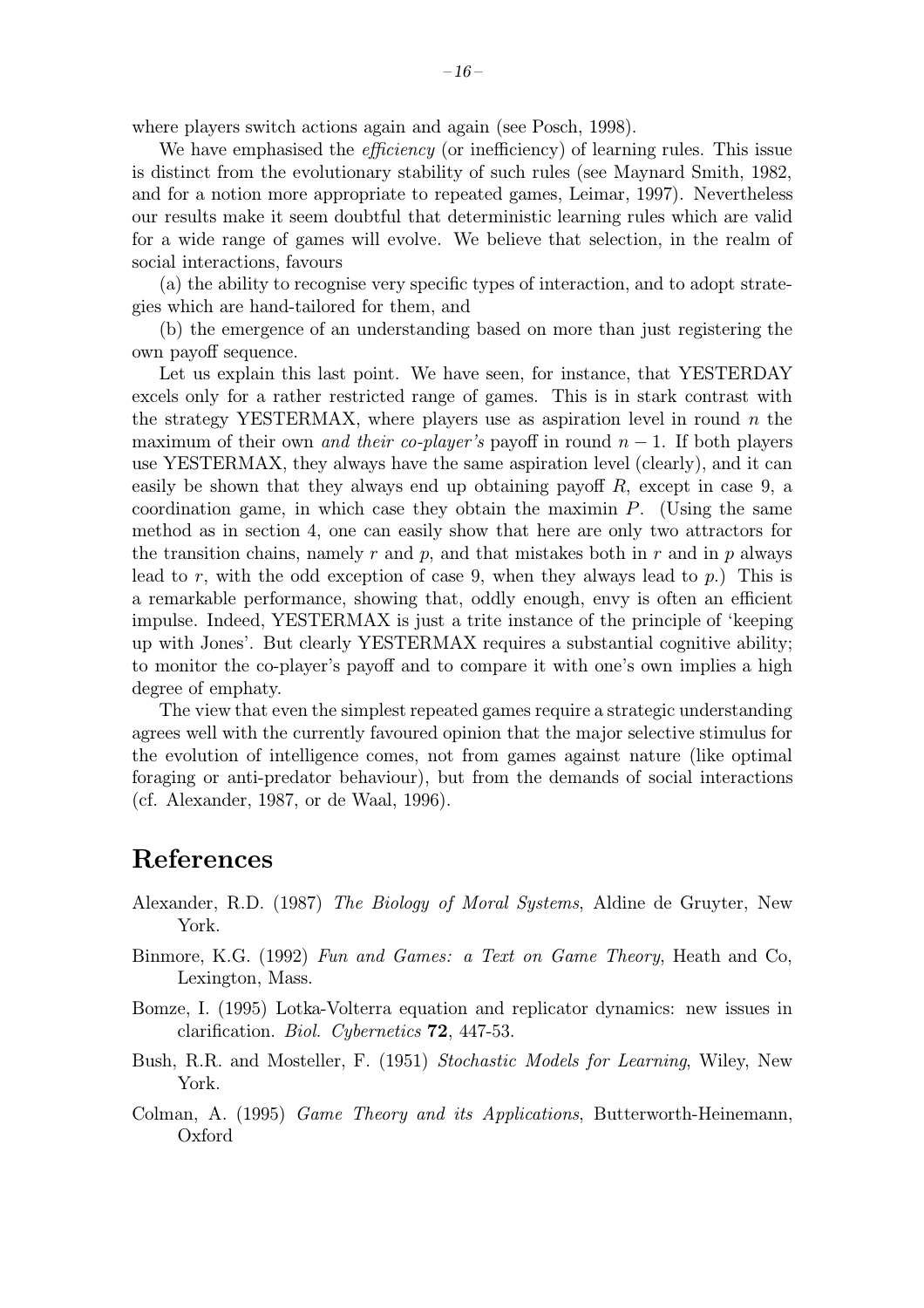where players switch actions again and again (see Posch, 1998).

We have emphasised the *efficiency* (or inefficiency) of learning rules. This issue is distinct from the evolutionary stability of such rules (see Maynard Smith, 1982, and for a notion more appropriate to repeated games, Leimar, 1997). Nevertheless our results make it seem doubtful that deterministic learning rules which are valid for a wide range of games will evolve. We believe that selection, in the realm of social interactions, favours

(a) the ability to recognise very specific types of interaction, and to adopt strategies which are hand-tailored for them, and

(b) the emergence of an understanding based on more than just registering the own payoff sequence.

Let us explain this last point. We have seen, for instance, that YESTERDAY excels only for a rather restricted range of games. This is in stark contrast with the strategy YESTERMAX, where players use as aspiration level in round  $n$  the maximum of their own *and their co-player's* payoff in round  $n - 1$ . If both players use YESTERMAX, they always have the same aspiration level (clearly), and it can easily be shown that they always end up obtaining payoff  $R$ , except in case 9, a coordination game, in which case they obtain the maximin  $P$ . (Using the same method as in section 4, one can easily show that here are only two attractors for the transition chains, namely r and p, and that mistakes both in r and in p always lead to r, with the odd exception of case 9, when they always lead to p.) This is a remarkable performance, showing that, oddly enough, envy is often an efficient impulse. Indeed, YESTERMAX is just a trite instance of the principle of 'keeping up with Jones'. But clearly YESTERMAX requires a substantial cognitive ability; to monitor the co-player's payoff and to compare it with one's own implies a high degree of emphaty.

The view that even the simplest repeated games require a strategic understanding agrees well with the currently favoured opinion that the major selective stimulus for the evolution of intelligence comes, not from games against nature (like optimal foraging or anti-predator behaviour), but from the demands of social interactions (cf. Alexander, 1987, or de Waal, 1996).

#### References

- Alexander, R.D. (1987) The Biology of Moral Systems, Aldine de Gruyter, New York.
- Binmore, K.G. (1992) Fun and Games: a Text on Game Theory, Heath and Co, Lexington, Mass.
- Bomze, I. (1995) Lotka-Volterra equation and replicator dynamics: new issues in clarification. Biol. Cybernetics 72, 447-53.
- Bush, R.R. and Mosteller, F. (1951) Stochastic Models for Learning, Wiley, New York.
- Colman, A. (1995) Game Theory and its Applications, Butterworth-Heinemann, Oxford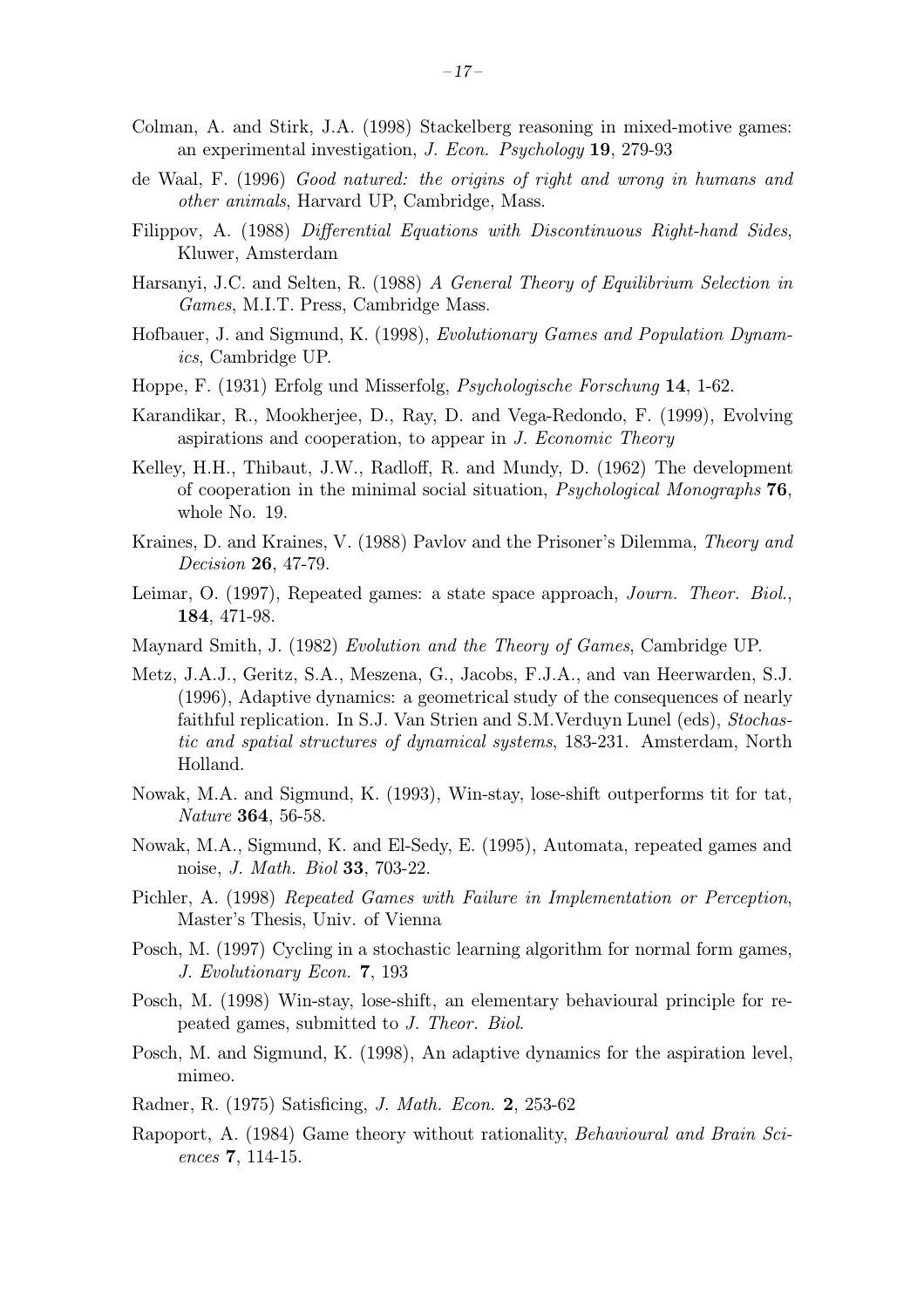- Colman, A. and Stirk, J.A. (1998) Stackelberg reasoning in mixed-motive games: an experimental investigation, J. Econ. Psychology 19, 279-93
- de Waal, F. (1996) Good natured: the origins of right and wrong in humans and other animals, Harvard UP, Cambridge, Mass.
- Filippov, A. (1988) Differential Equations with Discontinuous Right-hand Sides, Kluwer, Amsterdam
- Harsanyi, J.C. and Selten, R. (1988) A General Theory of Equilibrium Selection in Games, M.I.T. Press, Cambridge Mass.
- Hofbauer, J. and Sigmund, K. (1998), Evolutionary Games and Population Dynamics, Cambridge UP.
- Hoppe, F. (1931) Erfolg und Misserfolg, Psychologische Forschung 14, 1-62.
- Karandikar, R., Mookherjee, D., Ray, D. and Vega-Redondo, F. (1999), Evolving aspirations and cooperation, to appear in J. Economic Theory
- Kelley, H.H., Thibaut, J.W., Radloff, R. and Mundy, D. (1962) The development of cooperation in the minimal social situation, Psychological Monographs 76, whole No. 19.
- Kraines, D. and Kraines, V. (1988) Pavlov and the Prisoner's Dilemma, Theory and Decision 26, 47-79.
- Leimar, O. (1997), Repeated games: a state space approach, *Journ. Theor. Biol.*, 184, 471-98.
- Maynard Smith, J. (1982) Evolution and the Theory of Games, Cambridge UP.
- Metz, J.A.J., Geritz, S.A., Meszena, G., Jacobs, F.J.A., and van Heerwarden, S.J. (1996), Adaptive dynamics: a geometrical study of the consequences of nearly faithful replication. In S.J. Van Strien and S.M.Verduyn Lunel (eds), Stochastic and spatial structures of dynamical systems, 183-231. Amsterdam, North Holland.
- Nowak, M.A. and Sigmund, K. (1993), Win-stay, lose-shift outperforms tit for tat, Nature 364, 56-58.
- Nowak, M.A., Sigmund, K. and El-Sedy, E. (1995), Automata, repeated games and noise, J. Math. Biol 33, 703-22.
- Pichler, A. (1998) Repeated Games with Failure in Implementation or Perception, Master's Thesis, Univ. of Vienna
- Posch, M. (1997) Cycling in a stochastic learning algorithm for normal form games, J. Evolutionary Econ. 7, 193
- Posch, M. (1998) Win-stay, lose-shift, an elementary behavioural principle for repeated games, submitted to J. Theor. Biol.
- Posch, M. and Sigmund, K. (1998), An adaptive dynamics for the aspiration level, mimeo.
- Radner, R. (1975) Satisficing, J. Math. Econ. 2, 253-62
- Rapoport, A. (1984) Game theory without rationality, Behavioural and Brain Sciences 7, 114-15.